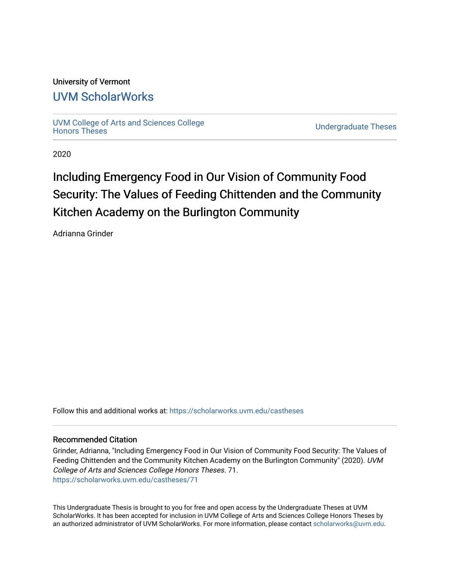# University of Vermont

# [UVM ScholarWorks](https://scholarworks.uvm.edu/)

[UVM College of Arts and Sciences College](https://scholarworks.uvm.edu/castheses)

**Undergraduate Theses** 

2020

# Including Emergency Food in Our Vision of Community Food Security: The Values of Feeding Chittenden and the Community Kitchen Academy on the Burlington Community

Adrianna Grinder

Follow this and additional works at: [https://scholarworks.uvm.edu/castheses](https://scholarworks.uvm.edu/castheses?utm_source=scholarworks.uvm.edu%2Fcastheses%2F71&utm_medium=PDF&utm_campaign=PDFCoverPages)

#### Recommended Citation

Grinder, Adrianna, "Including Emergency Food in Our Vision of Community Food Security: The Values of Feeding Chittenden and the Community Kitchen Academy on the Burlington Community" (2020). UVM College of Arts and Sciences College Honors Theses. 71. [https://scholarworks.uvm.edu/castheses/71](https://scholarworks.uvm.edu/castheses/71?utm_source=scholarworks.uvm.edu%2Fcastheses%2F71&utm_medium=PDF&utm_campaign=PDFCoverPages) 

This Undergraduate Thesis is brought to you for free and open access by the Undergraduate Theses at UVM ScholarWorks. It has been accepted for inclusion in UVM College of Arts and Sciences College Honors Theses by an authorized administrator of UVM ScholarWorks. For more information, please contact [scholarworks@uvm.edu.](mailto:scholarworks@uvm.edu)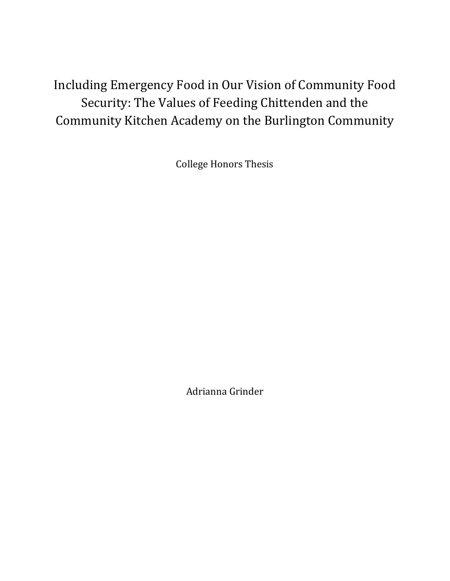Including Emergency Food in Our Vision of Community Food Security: The Values of Feeding Chittenden and the Community Kitchen Academy on the Burlington Community

College Honors Thesis

Adrianna Grinder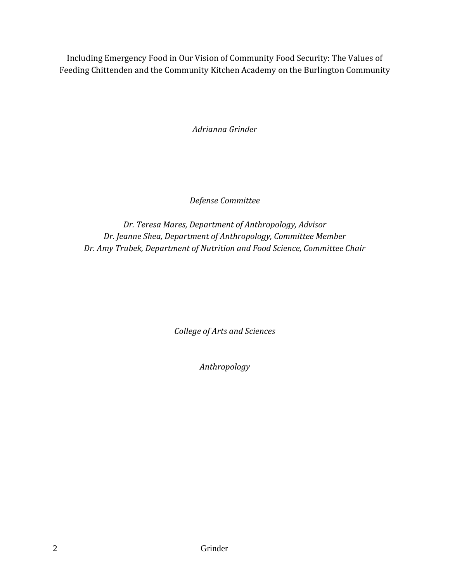Including Emergency Food in Our Vision of Community Food Security: The Values of Feeding Chittenden and the Community Kitchen Academy on the Burlington Community

*Adrianna Grinder* 

*Defense Committee* 

*Dr. Teresa Mares, Department of Anthropology, Advisor Dr. Jeanne Shea, Department of Anthropology, Committee Member Dr. Amy Trubek, Department of Nutrition and Food Science, Committee Chair* 

*College of Arts and Sciences* 

*Anthropology*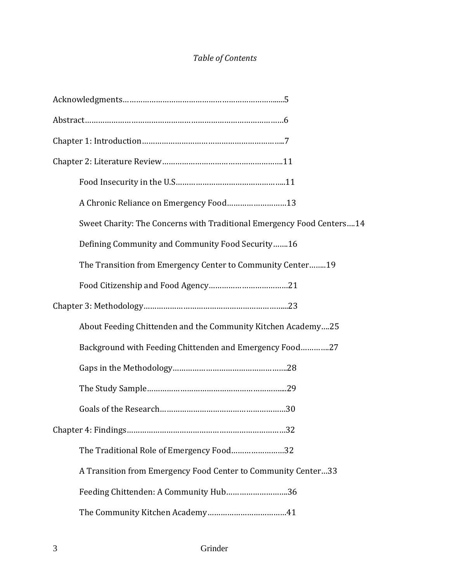# *Table of Contents*

| A Chronic Reliance on Emergency Food13                                 |
|------------------------------------------------------------------------|
| Sweet Charity: The Concerns with Traditional Emergency Food Centers 14 |
| Defining Community and Community Food Security16                       |
| The Transition from Emergency Center to Community Center19             |
|                                                                        |
|                                                                        |
| About Feeding Chittenden and the Community Kitchen Academy25           |
| Background with Feeding Chittenden and Emergency Food27                |
|                                                                        |
|                                                                        |
|                                                                        |
|                                                                        |
| The Traditional Role of Emergency Food32                               |
| A Transition from Emergency Food Center to Community Center33          |
| Feeding Chittenden: A Community Hub36                                  |
|                                                                        |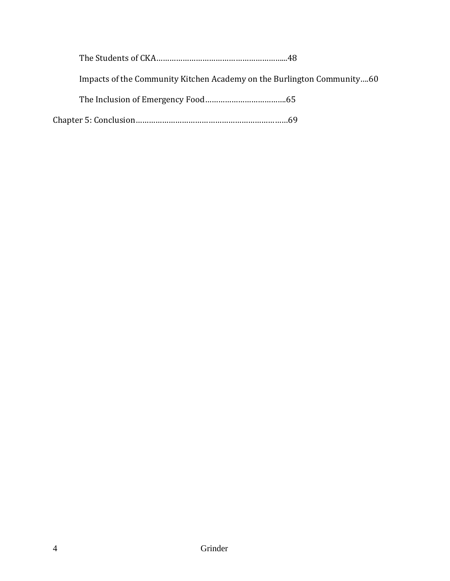| Impacts of the Community Kitchen Academy on the Burlington Community60 |
|------------------------------------------------------------------------|
|                                                                        |
|                                                                        |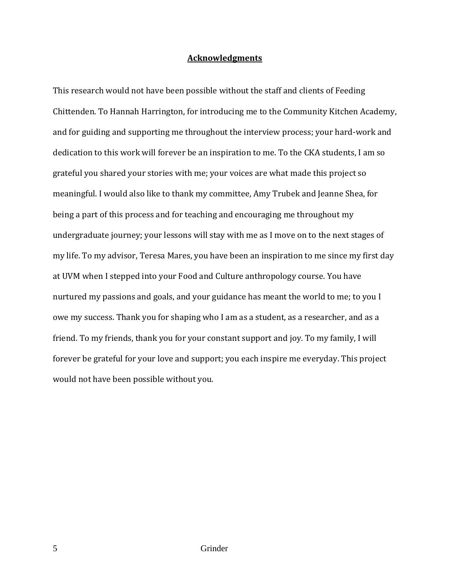# **Acknowledgments**

This research would not have been possible without the staff and clients of Feeding Chittenden. To Hannah Harrington, for introducing me to the Community Kitchen Academy, and for guiding and supporting me throughout the interview process; your hard-work and dedication to this work will forever be an inspiration to me. To the CKA students, I am so grateful you shared your stories with me; your voices are what made this project so meaningful. I would also like to thank my committee, Amy Trubek and Jeanne Shea, for being a part of this process and for teaching and encouraging me throughout my undergraduate journey; your lessons will stay with me as I move on to the next stages of my life. To my advisor, Teresa Mares, you have been an inspiration to me since my first day at UVM when I stepped into your Food and Culture anthropology course. You have nurtured my passions and goals, and your guidance has meant the world to me; to you I owe my success. Thank you for shaping who I am as a student, as a researcher, and as a friend. To my friends, thank you for your constant support and joy. To my family, I will forever be grateful for your love and support; you each inspire me everyday. This project would not have been possible without you.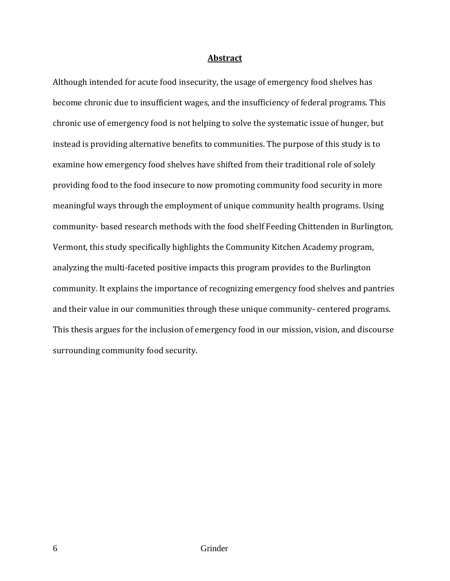# **Abstract**

Although intended for acute food insecurity, the usage of emergency food shelves has become chronic due to insufficient wages, and the insufficiency of federal programs. This chronic use of emergency food is not helping to solve the systematic issue of hunger, but instead is providing alternative benefits to communities. The purpose of this study is to examine how emergency food shelves have shifted from their traditional role of solely providing food to the food insecure to now promoting community food security in more meaningful ways through the employment of unique community health programs. Using community- based research methods with the food shelf Feeding Chittenden in Burlington, Vermont, this study specifically highlights the Community Kitchen Academy program, analyzing the multi-faceted positive impacts this program provides to the Burlington community. It explains the importance of recognizing emergency food shelves and pantries and their value in our communities through these unique community- centered programs. This thesis argues for the inclusion of emergency food in our mission, vision, and discourse surrounding community food security.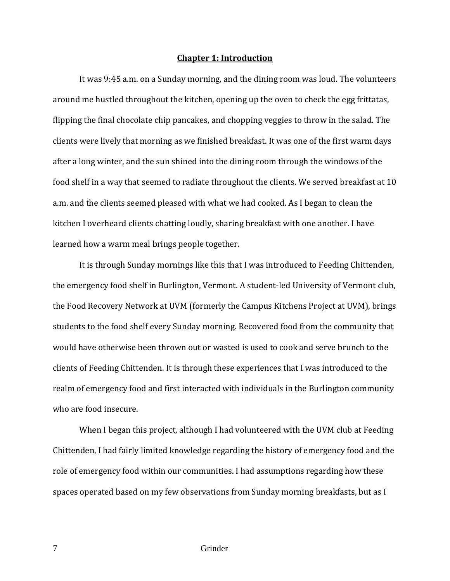### **Chapter 1: Introduction**

It was 9:45 a.m. on a Sunday morning, and the dining room was loud. The volunteers around me hustled throughout the kitchen, opening up the oven to check the egg frittatas, flipping the final chocolate chip pancakes, and chopping veggies to throw in the salad. The clients were lively that morning as we finished breakfast. It was one of the first warm days after a long winter, and the sun shined into the dining room through the windows of the food shelf in a way that seemed to radiate throughout the clients. We served breakfast at 10 a.m. and the clients seemed pleased with what we had cooked. As I began to clean the kitchen I overheard clients chatting loudly, sharing breakfast with one another. I have learned how a warm meal brings people together.

It is through Sunday mornings like this that I was introduced to Feeding Chittenden, the emergency food shelf in Burlington, Vermont. A student-led University of Vermont club, the Food Recovery Network at UVM (formerly the Campus Kitchens Project at UVM), brings students to the food shelf every Sunday morning. Recovered food from the community that would have otherwise been thrown out or wasted is used to cook and serve brunch to the clients of Feeding Chittenden. It is through these experiences that I was introduced to the realm of emergency food and first interacted with individuals in the Burlington community who are food insecure.

When I began this project, although I had volunteered with the UVM club at Feeding Chittenden, I had fairly limited knowledge regarding the history of emergency food and the role of emergency food within our communities. I had assumptions regarding how these spaces operated based on my few observations from Sunday morning breakfasts, but as I

7 Grinder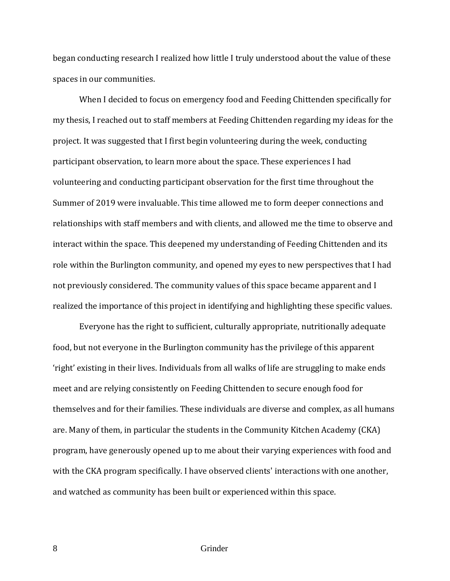began conducting research I realized how little I truly understood about the value of these spaces in our communities.

When I decided to focus on emergency food and Feeding Chittenden specifically for my thesis, I reached out to staff members at Feeding Chittenden regarding my ideas for the project. It was suggested that I first begin volunteering during the week, conducting participant observation, to learn more about the space. These experiences I had volunteering and conducting participant observation for the first time throughout the Summer of 2019 were invaluable. This time allowed me to form deeper connections and relationships with staff members and with clients, and allowed me the time to observe and interact within the space. This deepened my understanding of Feeding Chittenden and its role within the Burlington community, and opened my eyes to new perspectives that I had not previously considered. The community values of this space became apparent and I realized the importance of this project in identifying and highlighting these specific values.

Everyone has the right to sufficient, culturally appropriate, nutritionally adequate food, but not everyone in the Burlington community has the privilege of this apparent 'right' existing in their lives. Individuals from all walks of life are struggling to make ends meet and are relying consistently on Feeding Chittenden to secure enough food for themselves and for their families. These individuals are diverse and complex, as all humans are. Many of them, in particular the students in the Community Kitchen Academy (CKA) program, have generously opened up to me about their varying experiences with food and with the CKA program specifically. I have observed clients' interactions with one another, and watched as community has been built or experienced within this space.

8 Grinder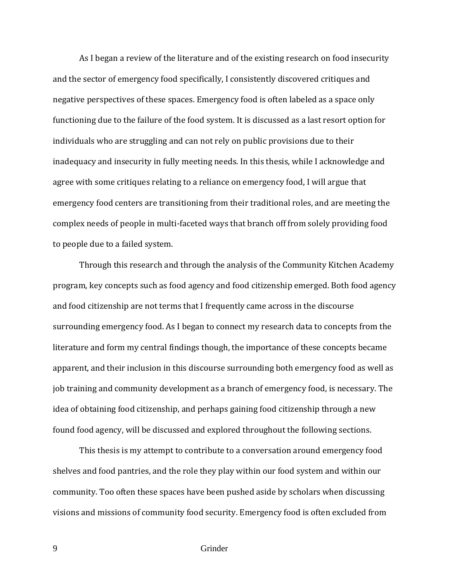As I began a review of the literature and of the existing research on food insecurity and the sector of emergency food specifically, I consistently discovered critiques and negative perspectives of these spaces. Emergency food is often labeled as a space only functioning due to the failure of the food system. It is discussed as a last resort option for individuals who are struggling and can not rely on public provisions due to their inadequacy and insecurity in fully meeting needs. In this thesis, while I acknowledge and agree with some critiques relating to a reliance on emergency food, I will argue that emergency food centers are transitioning from their traditional roles, and are meeting the complex needs of people in multi-faceted ways that branch off from solely providing food to people due to a failed system.

Through this research and through the analysis of the Community Kitchen Academy program, key concepts such as food agency and food citizenship emerged. Both food agency and food citizenship are not terms that I frequently came across in the discourse surrounding emergency food. As I began to connect my research data to concepts from the literature and form my central findings though, the importance of these concepts became apparent, and their inclusion in this discourse surrounding both emergency food as well as job training and community development as a branch of emergency food, is necessary. The idea of obtaining food citizenship, and perhaps gaining food citizenship through a new found food agency, will be discussed and explored throughout the following sections.

This thesis is my attempt to contribute to a conversation around emergency food shelves and food pantries, and the role they play within our food system and within our community. Too often these spaces have been pushed aside by scholars when discussing visions and missions of community food security. Emergency food is often excluded from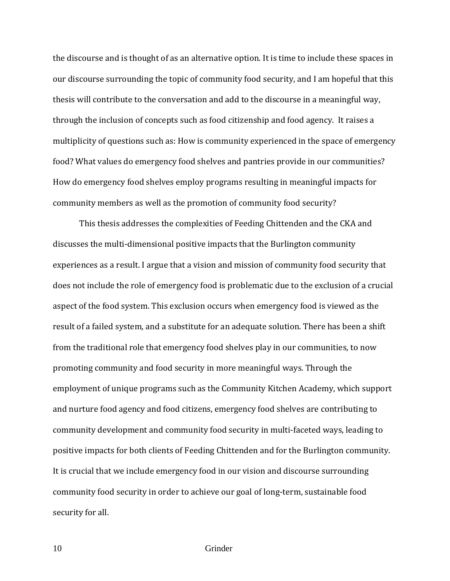the discourse and is thought of as an alternative option. It is time to include these spaces in our discourse surrounding the topic of community food security, and I am hopeful that this thesis will contribute to the conversation and add to the discourse in a meaningful way, through the inclusion of concepts such as food citizenship and food agency. It raises a multiplicity of questions such as: How is community experienced in the space of emergency food? What values do emergency food shelves and pantries provide in our communities? How do emergency food shelves employ programs resulting in meaningful impacts for community members as well as the promotion of community food security?

This thesis addresses the complexities of Feeding Chittenden and the CKA and discusses the multi-dimensional positive impacts that the Burlington community experiences as a result. I argue that a vision and mission of community food security that does not include the role of emergency food is problematic due to the exclusion of a crucial aspect of the food system. This exclusion occurs when emergency food is viewed as the result of a failed system, and a substitute for an adequate solution. There has been a shift from the traditional role that emergency food shelves play in our communities, to now promoting community and food security in more meaningful ways. Through the employment of unique programs such as the Community Kitchen Academy, which support and nurture food agency and food citizens, emergency food shelves are contributing to community development and community food security in multi-faceted ways, leading to positive impacts for both clients of Feeding Chittenden and for the Burlington community. It is crucial that we include emergency food in our vision and discourse surrounding community food security in order to achieve our goal of long-term, sustainable food security for all.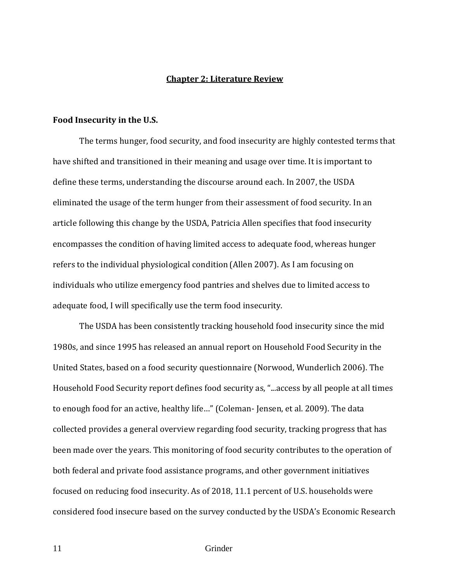#### **Chapter 2: Literature Review**

#### **Food Insecurity in the U.S.**

The terms hunger, food security, and food insecurity are highly contested terms that have shifted and transitioned in their meaning and usage over time. It is important to define these terms, understanding the discourse around each. In 2007, the USDA eliminated the usage of the term hunger from their assessment of food security. In an article following this change by the USDA, Patricia Allen specifies that food insecurity encompasses the condition of having limited access to adequate food, whereas hunger refers to the individual physiological condition (Allen 2007). As I am focusing on individuals who utilize emergency food pantries and shelves due to limited access to adequate food, I will specifically use the term food insecurity.

The USDA has been consistently tracking household food insecurity since the mid 1980s, and since 1995 has released an annual report on Household Food Security in the United States, based on a food security questionnaire (Norwood, Wunderlich 2006). The Household Food Security report defines food security as, "...access by all people at all times to enough food for an active, healthy life…" (Coleman- Jensen, et al. 2009). The data collected provides a general overview regarding food security, tracking progress that has been made over the years. This monitoring of food security contributes to the operation of both federal and private food assistance programs, and other government initiatives focused on reducing food insecurity. As of 2018, 11.1 percent of U.S. households were considered food insecure based on the survey conducted by the USDA's Economic Research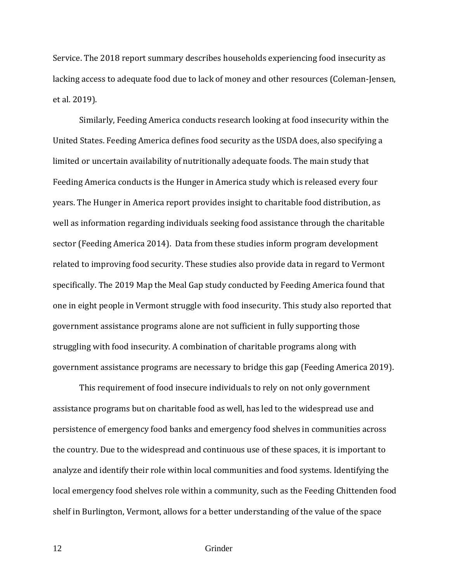Service. The 2018 report summary describes households experiencing food insecurity as lacking access to adequate food due to lack of money and other resources (Coleman-Jensen, et al. 2019).

Similarly, Feeding America conducts research looking at food insecurity within the United States. Feeding America defines food security as the USDA does, also specifying a limited or uncertain availability of nutritionally adequate foods. The main study that Feeding America conducts is the Hunger in America study which is released every four years. The Hunger in America report provides insight to charitable food distribution, as well as information regarding individuals seeking food assistance through the charitable sector (Feeding America 2014). Data from these studies inform program development related to improving food security. These studies also provide data in regard to Vermont specifically. The 2019 Map the Meal Gap study conducted by Feeding America found that one in eight people in Vermont struggle with food insecurity. This study also reported that government assistance programs alone are not sufficient in fully supporting those struggling with food insecurity. A combination of charitable programs along with government assistance programs are necessary to bridge this gap (Feeding America 2019).

This requirement of food insecure individuals to rely on not only government assistance programs but on charitable food as well, has led to the widespread use and persistence of emergency food banks and emergency food shelves in communities across the country. Due to the widespread and continuous use of these spaces, it is important to analyze and identify their role within local communities and food systems. Identifying the local emergency food shelves role within a community, such as the Feeding Chittenden food shelf in Burlington, Vermont, allows for a better understanding of the value of the space

12 Grinder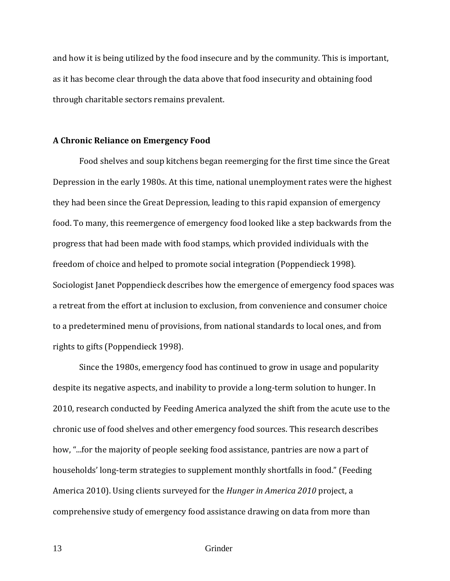and how it is being utilized by the food insecure and by the community. This is important, as it has become clear through the data above that food insecurity and obtaining food through charitable sectors remains prevalent.

# **A Chronic Reliance on Emergency Food**

Food shelves and soup kitchens began reemerging for the first time since the Great Depression in the early 1980s. At this time, national unemployment rates were the highest they had been since the Great Depression, leading to this rapid expansion of emergency food. To many, this reemergence of emergency food looked like a step backwards from the progress that had been made with food stamps, which provided individuals with the freedom of choice and helped to promote social integration (Poppendieck 1998). Sociologist Janet Poppendieck describes how the emergence of emergency food spaces was a retreat from the effort at inclusion to exclusion, from convenience and consumer choice to a predetermined menu of provisions, from national standards to local ones, and from rights to gifts (Poppendieck 1998).

Since the 1980s, emergency food has continued to grow in usage and popularity despite its negative aspects, and inability to provide a long-term solution to hunger. In 2010, research conducted by Feeding America analyzed the shift from the acute use to the chronic use of food shelves and other emergency food sources. This research describes how, "...for the majority of people seeking food assistance, pantries are now a part of households' long-term strategies to supplement monthly shortfalls in food." (Feeding America 2010). Using clients surveyed for the *Hunger in America 2010* project, a comprehensive study of emergency food assistance drawing on data from more than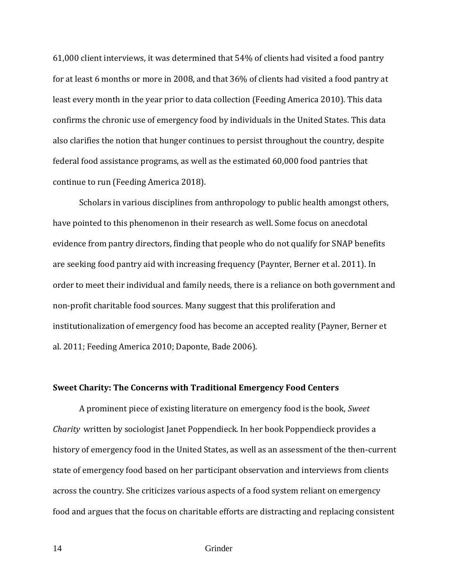61,000 client interviews, it was determined that 54% of clients had visited a food pantry for at least 6 months or more in 2008, and that 36% of clients had visited a food pantry at least every month in the year prior to data collection (Feeding America 2010). This data confirms the chronic use of emergency food by individuals in the United States. This data also clarifies the notion that hunger continues to persist throughout the country, despite federal food assistance programs, as well as the estimated 60,000 food pantries that continue to run (Feeding America 2018).

Scholars in various disciplines from anthropology to public health amongst others, have pointed to this phenomenon in their research as well. Some focus on anecdotal evidence from pantry directors, finding that people who do not qualify for SNAP benefits are seeking food pantry aid with increasing frequency (Paynter, Berner et al. 2011). In order to meet their individual and family needs, there is a reliance on both government and non-profit charitable food sources. Many suggest that this proliferation and institutionalization of emergency food has become an accepted reality (Payner, Berner et al. 2011; Feeding America 2010; Daponte, Bade 2006).

# **Sweet Charity: The Concerns with Traditional Emergency Food Centers**

A prominent piece of existing literature on emergency food is the book, *Sweet Charity* written by sociologist Janet Poppendieck. In her book Poppendieck provides a history of emergency food in the United States, as well as an assessment of the then-current state of emergency food based on her participant observation and interviews from clients across the country. She criticizes various aspects of a food system reliant on emergency food and argues that the focus on charitable efforts are distracting and replacing consistent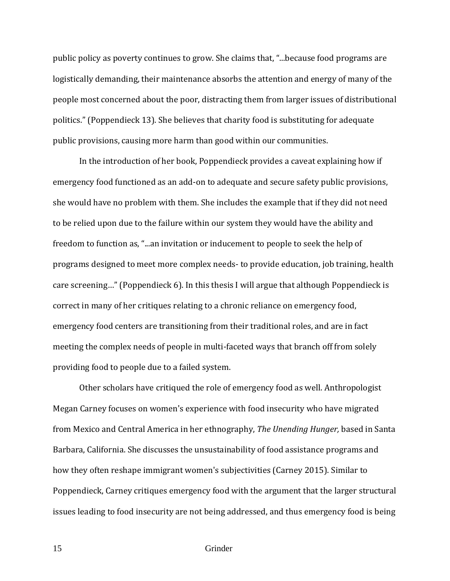public policy as poverty continues to grow. She claims that, "...because food programs are logistically demanding, their maintenance absorbs the attention and energy of many of the people most concerned about the poor, distracting them from larger issues of distributional politics." (Poppendieck 13). She believes that charity food is substituting for adequate public provisions, causing more harm than good within our communities.

In the introduction of her book, Poppendieck provides a caveat explaining how if emergency food functioned as an add-on to adequate and secure safety public provisions, she would have no problem with them. She includes the example that if they did not need to be relied upon due to the failure within our system they would have the ability and freedom to function as, "...an invitation or inducement to people to seek the help of programs designed to meet more complex needs- to provide education, job training, health care screening…" (Poppendieck 6). In this thesis I will argue that although Poppendieck is correct in many of her critiques relating to a chronic reliance on emergency food, emergency food centers are transitioning from their traditional roles, and are in fact meeting the complex needs of people in multi-faceted ways that branch off from solely providing food to people due to a failed system.

Other scholars have critiqued the role of emergency food as well. Anthropologist Megan Carney focuses on women's experience with food insecurity who have migrated from Mexico and Central America in her ethnography, *The Unending Hunger,* based in Santa Barbara, California. She discusses the unsustainability of food assistance programs and how they often reshape immigrant women's subjectivities (Carney 2015). Similar to Poppendieck, Carney critiques emergency food with the argument that the larger structural issues leading to food insecurity are not being addressed, and thus emergency food is being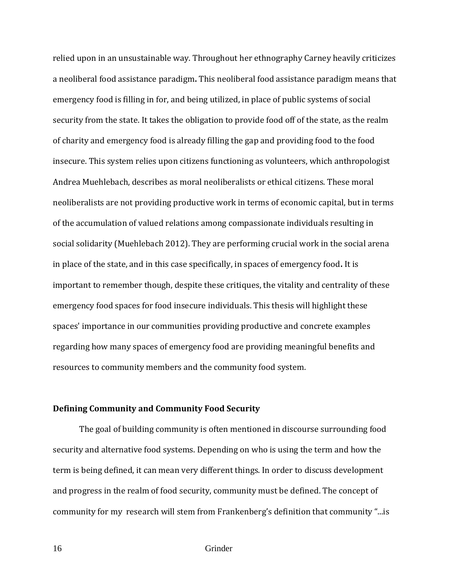relied upon in an unsustainable way. Throughout her ethnography Carney heavily criticizes a neoliberal food assistance paradigm**.** This neoliberal food assistance paradigm means that emergency food is filling in for, and being utilized, in place of public systems of social security from the state. It takes the obligation to provide food off of the state, as the realm of charity and emergency food is already filling the gap and providing food to the food insecure. This system relies upon citizens functioning as volunteers, which anthropologist Andrea Muehlebach, describes as moral neoliberalists or ethical citizens. These moral neoliberalists are not providing productive work in terms of economic capital, but in terms of the accumulation of valued relations among compassionate individuals resulting in social solidarity (Muehlebach 2012). They are performing crucial work in the social arena in place of the state, and in this case specifically, in spaces of emergency food**.** It is important to remember though, despite these critiques, the vitality and centrality of these emergency food spaces for food insecure individuals. This thesis will highlight these spaces' importance in our communities providing productive and concrete examples regarding how many spaces of emergency food are providing meaningful benefits and resources to community members and the community food system.

# **Defining Community and Community Food Security**

The goal of building community is often mentioned in discourse surrounding food security and alternative food systems. Depending on who is using the term and how the term is being defined, it can mean very different things. In order to discuss development and progress in the realm of food security, community must be defined. The concept of community for my research will stem from Frankenberg's definition that community "...is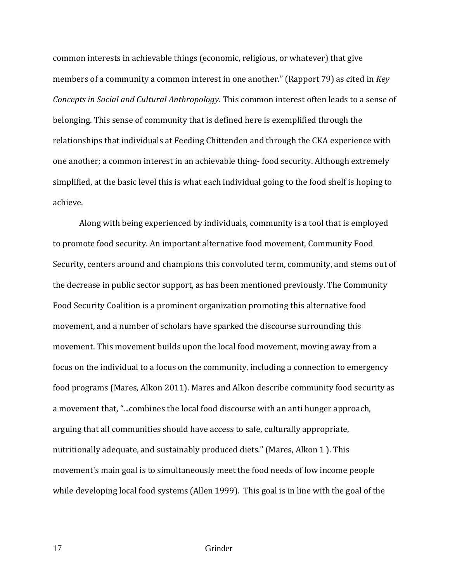common interests in achievable things (economic, religious, or whatever) that give members of a community a common interest in one another." (Rapport 79) as cited in *Key Concepts in Social and Cultural Anthropology*. This common interest often leads to a sense of belonging. This sense of community that is defined here is exemplified through the relationships that individuals at Feeding Chittenden and through the CKA experience with one another; a common interest in an achievable thing- food security. Although extremely simplified, at the basic level this is what each individual going to the food shelf is hoping to achieve.

Along with being experienced by individuals, community is a tool that is employed to promote food security. An important alternative food movement, Community Food Security, centers around and champions this convoluted term, community, and stems out of the decrease in public sector support, as has been mentioned previously. The Community Food Security Coalition is a prominent organization promoting this alternative food movement, and a number of scholars have sparked the discourse surrounding this movement. This movement builds upon the local food movement, moving away from a focus on the individual to a focus on the community, including a connection to emergency food programs (Mares, Alkon 2011). Mares and Alkon describe community food security as a movement that, "...combines the local food discourse with an anti hunger approach, arguing that all communities should have access to safe, culturally appropriate, nutritionally adequate, and sustainably produced diets." (Mares, Alkon 1 ). This movement's main goal is to simultaneously meet the food needs of low income people while developing local food systems (Allen 1999). This goal is in line with the goal of the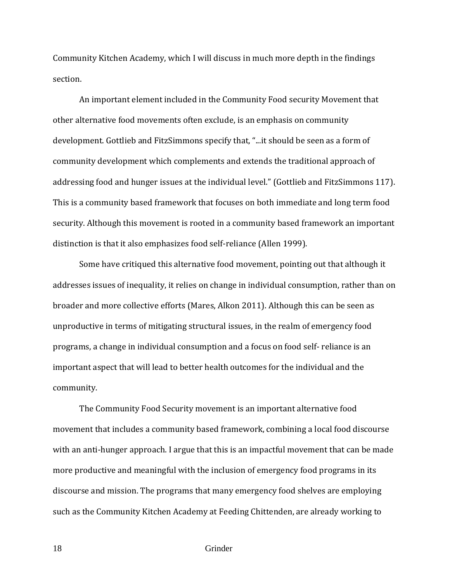Community Kitchen Academy, which I will discuss in much more depth in the findings section.

An important element included in the Community Food security Movement that other alternative food movements often exclude, is an emphasis on community development. Gottlieb and FitzSimmons specify that, "...it should be seen as a form of community development which complements and extends the traditional approach of addressing food and hunger issues at the individual level." (Gottlieb and FitzSimmons 117). This is a community based framework that focuses on both immediate and long term food security. Although this movement is rooted in a community based framework an important distinction is that it also emphasizes food self-reliance (Allen 1999).

Some have critiqued this alternative food movement, pointing out that although it addresses issues of inequality, it relies on change in individual consumption, rather than on broader and more collective efforts (Mares, Alkon 2011). Although this can be seen as unproductive in terms of mitigating structural issues, in the realm of emergency food programs, a change in individual consumption and a focus on food self- reliance is an important aspect that will lead to better health outcomes for the individual and the community.

The Community Food Security movement is an important alternative food movement that includes a community based framework, combining a local food discourse with an anti-hunger approach. I argue that this is an impactful movement that can be made more productive and meaningful with the inclusion of emergency food programs in its discourse and mission. The programs that many emergency food shelves are employing such as the Community Kitchen Academy at Feeding Chittenden, are already working to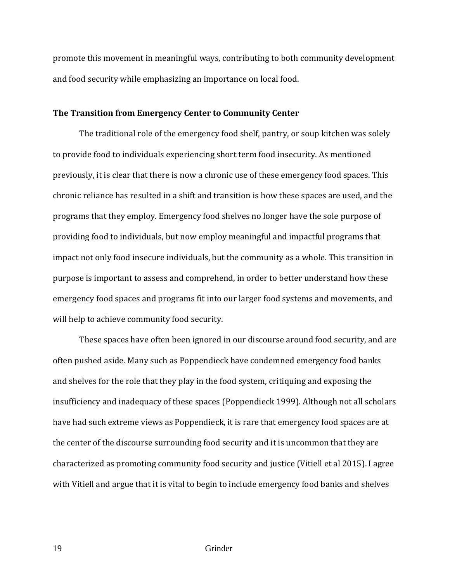promote this movement in meaningful ways, contributing to both community development and food security while emphasizing an importance on local food.

# **The Transition from Emergency Center to Community Center**

The traditional role of the emergency food shelf, pantry, or soup kitchen was solely to provide food to individuals experiencing short term food insecurity. As mentioned previously, it is clear that there is now a chronic use of these emergency food spaces. This chronic reliance has resulted in a shift and transition is how these spaces are used, and the programs that they employ. Emergency food shelves no longer have the sole purpose of providing food to individuals, but now employ meaningful and impactful programs that impact not only food insecure individuals, but the community as a whole. This transition in purpose is important to assess and comprehend, in order to better understand how these emergency food spaces and programs fit into our larger food systems and movements, and will help to achieve community food security.

These spaces have often been ignored in our discourse around food security, and are often pushed aside. Many such as Poppendieck have condemned emergency food banks and shelves for the role that they play in the food system, critiquing and exposing the insufficiency and inadequacy of these spaces (Poppendieck 1999). Although not all scholars have had such extreme views as Poppendieck, it is rare that emergency food spaces are at the center of the discourse surrounding food security and it is uncommon that they are characterized as promoting community food security and justice (Vitiell et al 2015). I agree with Vitiell and argue that it is vital to begin to include emergency food banks and shelves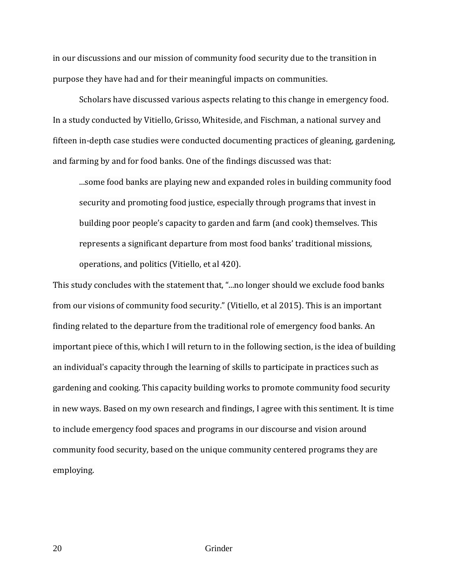in our discussions and our mission of community food security due to the transition in purpose they have had and for their meaningful impacts on communities.

Scholars have discussed various aspects relating to this change in emergency food. In a study conducted by Vitiello, Grisso, Whiteside, and Fischman, a national survey and fifteen in-depth case studies were conducted documenting practices of gleaning, gardening, and farming by and for food banks. One of the findings discussed was that:

...some food banks are playing new and expanded roles in building community food security and promoting food justice, especially through programs that invest in building poor people's capacity to garden and farm (and cook) themselves. This represents a significant departure from most food banks' traditional missions, operations, and politics (Vitiello, et al 420).

This study concludes with the statement that, "...no longer should we exclude food banks from our visions of community food security." (Vitiello, et al 2015). This is an important finding related to the departure from the traditional role of emergency food banks. An important piece of this, which I will return to in the following section, is the idea of building an individual's capacity through the learning of skills to participate in practices such as gardening and cooking. This capacity building works to promote community food security in new ways. Based on my own research and findings, I agree with this sentiment. It is time to include emergency food spaces and programs in our discourse and vision around community food security, based on the unique community centered programs they are employing.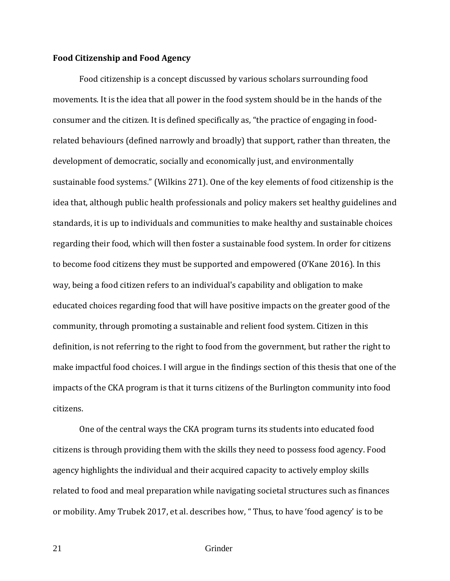# **Food Citizenship and Food Agency**

Food citizenship is a concept discussed by various scholars surrounding food movements. It is the idea that all power in the food system should be in the hands of the consumer and the citizen. It is defined specifically as, "the practice of engaging in foodrelated behaviours (defined narrowly and broadly) that support, rather than threaten, the development of democratic, socially and economically just, and environmentally sustainable food systems." (Wilkins 271). One of the key elements of food citizenship is the idea that, although public health professionals and policy makers set healthy guidelines and standards, it is up to individuals and communities to make healthy and sustainable choices regarding their food, which will then foster a sustainable food system. In order for citizens to become food citizens they must be supported and empowered (O'Kane 2016). In this way, being a food citizen refers to an individual's capability and obligation to make educated choices regarding food that will have positive impacts on the greater good of the community, through promoting a sustainable and relient food system. Citizen in this definition, is not referring to the right to food from the government, but rather the right to make impactful food choices. I will argue in the findings section of this thesis that one of the impacts of the CKA program is that it turns citizens of the Burlington community into food citizens.

One of the central ways the CKA program turns its students into educated food citizens is through providing them with the skills they need to possess food agency. Food agency highlights the individual and their acquired capacity to actively employ skills related to food and meal preparation while navigating societal structures such as finances or mobility. Amy Trubek 2017, et al. describes how, " Thus, to have 'food agency' is to be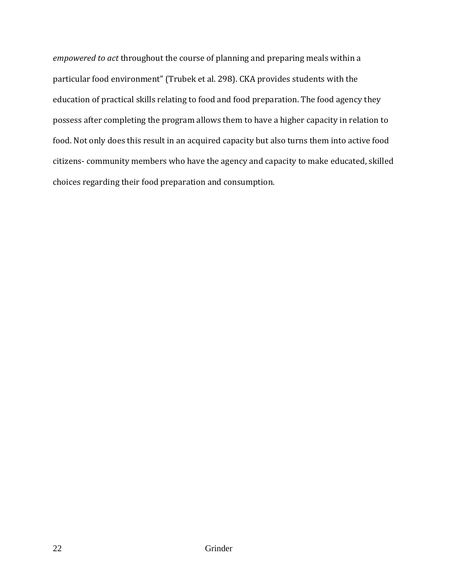*empowered to act* throughout the course of planning and preparing meals within a particular food environment" (Trubek et al. 298). CKA provides students with the education of practical skills relating to food and food preparation. The food agency they possess after completing the program allows them to have a higher capacity in relation to food. Not only does this result in an acquired capacity but also turns them into active food citizens- community members who have the agency and capacity to make educated, skilled choices regarding their food preparation and consumption.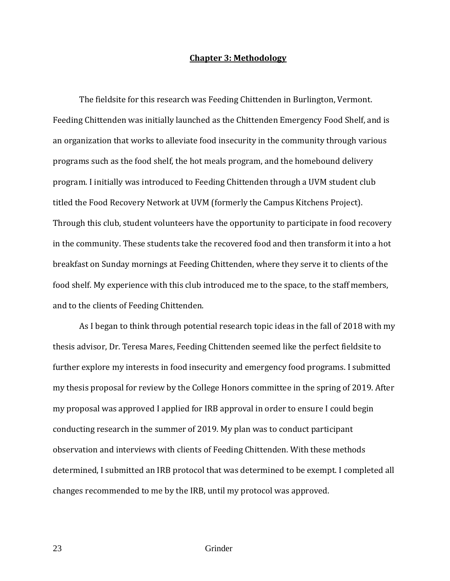# **Chapter 3: Methodology**

The fieldsite for this research was Feeding Chittenden in Burlington, Vermont. Feeding Chittenden was initially launched as the Chittenden Emergency Food Shelf, and is an organization that works to alleviate food insecurity in the community through various programs such as the food shelf, the hot meals program, and the homebound delivery program. I initially was introduced to Feeding Chittenden through a UVM student club titled the Food Recovery Network at UVM (formerly the Campus Kitchens Project). Through this club, student volunteers have the opportunity to participate in food recovery in the community. These students take the recovered food and then transform it into a hot breakfast on Sunday mornings at Feeding Chittenden, where they serve it to clients of the food shelf. My experience with this club introduced me to the space, to the staff members, and to the clients of Feeding Chittenden.

 As I began to think through potential research topic ideas in the fall of 2018 with my thesis advisor, Dr. Teresa Mares, Feeding Chittenden seemed like the perfect fieldsite to further explore my interests in food insecurity and emergency food programs. I submitted my thesis proposal for review by the College Honors committee in the spring of 2019. After my proposal was approved I applied for IRB approval in order to ensure I could begin conducting research in the summer of 2019. My plan was to conduct participant observation and interviews with clients of Feeding Chittenden. With these methods determined, I submitted an IRB protocol that was determined to be exempt. I completed all changes recommended to me by the IRB, until my protocol was approved.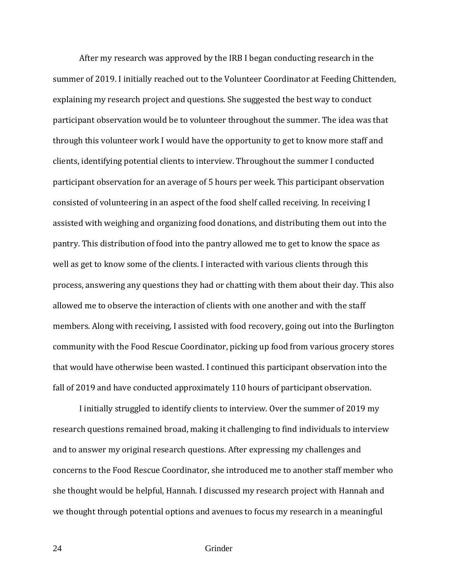After my research was approved by the IRB I began conducting research in the summer of 2019. I initially reached out to the Volunteer Coordinator at Feeding Chittenden, explaining my research project and questions. She suggested the best way to conduct participant observation would be to volunteer throughout the summer. The idea was that through this volunteer work I would have the opportunity to get to know more staff and clients, identifying potential clients to interview. Throughout the summer I conducted participant observation for an average of 5 hours per week. This participant observation consisted of volunteering in an aspect of the food shelf called receiving. In receiving I assisted with weighing and organizing food donations, and distributing them out into the pantry. This distribution of food into the pantry allowed me to get to know the space as well as get to know some of the clients. I interacted with various clients through this process, answering any questions they had or chatting with them about their day. This also allowed me to observe the interaction of clients with one another and with the staff members. Along with receiving, I assisted with food recovery, going out into the Burlington community with the Food Rescue Coordinator, picking up food from various grocery stores that would have otherwise been wasted. I continued this participant observation into the fall of 2019 and have conducted approximately 110 hours of participant observation.

I initially struggled to identify clients to interview. Over the summer of 2019 my research questions remained broad, making it challenging to find individuals to interview and to answer my original research questions. After expressing my challenges and concerns to the Food Rescue Coordinator, she introduced me to another staff member who she thought would be helpful, Hannah. I discussed my research project with Hannah and we thought through potential options and avenues to focus my research in a meaningful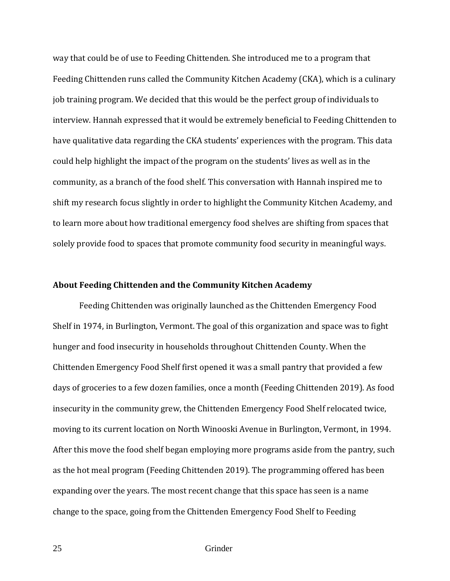way that could be of use to Feeding Chittenden. She introduced me to a program that Feeding Chittenden runs called the Community Kitchen Academy (CKA), which is a culinary job training program. We decided that this would be the perfect group of individuals to interview. Hannah expressed that it would be extremely beneficial to Feeding Chittenden to have qualitative data regarding the CKA students' experiences with the program. This data could help highlight the impact of the program on the students' lives as well as in the community, as a branch of the food shelf. This conversation with Hannah inspired me to shift my research focus slightly in order to highlight the Community Kitchen Academy, and to learn more about how traditional emergency food shelves are shifting from spaces that solely provide food to spaces that promote community food security in meaningful ways.

### **About Feeding Chittenden and the Community Kitchen Academy**

Feeding Chittenden was originally launched as the Chittenden Emergency Food Shelf in 1974, in Burlington, Vermont. The goal of this organization and space was to fight hunger and food insecurity in households throughout Chittenden County. When the Chittenden Emergency Food Shelf first opened it was a small pantry that provided a few days of groceries to a few dozen families, once a month (Feeding Chittenden 2019). As food insecurity in the community grew, the Chittenden Emergency Food Shelf relocated twice, moving to its current location on North Winooski Avenue in Burlington, Vermont, in 1994. After this move the food shelf began employing more programs aside from the pantry, such as the hot meal program (Feeding Chittenden 2019). The programming offered has been expanding over the years. The most recent change that this space has seen is a name change to the space, going from the Chittenden Emergency Food Shelf to Feeding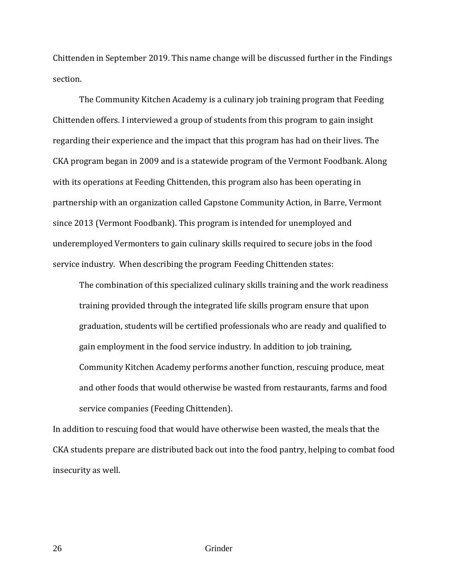Chittenden in September 2019. This name change will be discussed further in the Findings section.

 The Community Kitchen Academy is a culinary job training program that Feeding Chittenden offers. I interviewed a group of students from this program to gain insight regarding their experience and the impact that this program has had on their lives. The CKA program began in 2009 and is a statewide program of the Vermont Foodbank. Along with its operations at Feeding Chittenden, this program also has been operating in partnership with an organization called Capstone Community Action, in Barre, Vermont since 2013 (Vermont Foodbank). This program is intended for unemployed and underemployed Vermonters to gain culinary skills required to secure jobs in the food service industry. When describing the program Feeding Chittenden states:

The combination of this specialized culinary skills training and the work readiness training provided through the integrated life skills program ensure that upon graduation, students will be certified professionals who are ready and qualified to gain employment in the food service industry. In addition to job training, Community Kitchen Academy performs another function, rescuing produce, meat and other foods that would otherwise be wasted from restaurants, farms and food service companies (Feeding Chittenden).

In addition to rescuing food that would have otherwise been wasted, the meals that the CKA students prepare are distributed back out into the food pantry, helping to combat food insecurity as well.

26 Grinder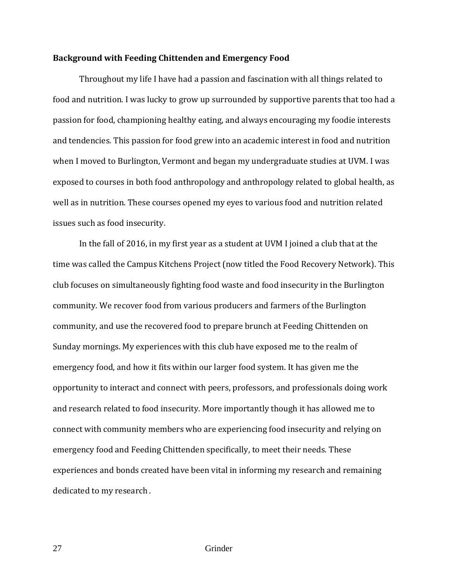### **Background with Feeding Chittenden and Emergency Food**

 Throughout my life I have had a passion and fascination with all things related to food and nutrition. I was lucky to grow up surrounded by supportive parents that too had a passion for food, championing healthy eating, and always encouraging my foodie interests and tendencies. This passion for food grew into an academic interest in food and nutrition when I moved to Burlington, Vermont and began my undergraduate studies at UVM. I was exposed to courses in both food anthropology and anthropology related to global health, as well as in nutrition. These courses opened my eyes to various food and nutrition related issues such as food insecurity.

 In the fall of 2016, in my first year as a student at UVM I joined a club that at the time was called the Campus Kitchens Project (now titled the Food Recovery Network). This club focuses on simultaneously fighting food waste and food insecurity in the Burlington community. We recover food from various producers and farmers of the Burlington community, and use the recovered food to prepare brunch at Feeding Chittenden on Sunday mornings. My experiences with this club have exposed me to the realm of emergency food, and how it fits within our larger food system. It has given me the opportunity to interact and connect with peers, professors, and professionals doing work and research related to food insecurity. More importantly though it has allowed me to connect with community members who are experiencing food insecurity and relying on emergency food and Feeding Chittenden specifically, to meet their needs. These experiences and bonds created have been vital in informing my research and remaining dedicated to my research .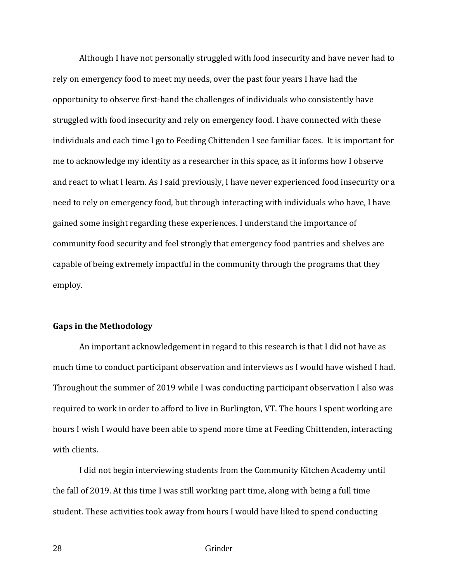Although I have not personally struggled with food insecurity and have never had to rely on emergency food to meet my needs, over the past four years I have had the opportunity to observe first-hand the challenges of individuals who consistently have struggled with food insecurity and rely on emergency food. I have connected with these individuals and each time I go to Feeding Chittenden I see familiar faces. It is important for me to acknowledge my identity as a researcher in this space, as it informs how I observe and react to what I learn. As I said previously, I have never experienced food insecurity or a need to rely on emergency food, but through interacting with individuals who have, I have gained some insight regarding these experiences. I understand the importance of community food security and feel strongly that emergency food pantries and shelves are capable of being extremely impactful in the community through the programs that they employ.

# **Gaps in the Methodology**

 An important acknowledgement in regard to this research is that I did not have as much time to conduct participant observation and interviews as I would have wished I had. Throughout the summer of 2019 while I was conducting participant observation I also was required to work in order to afford to live in Burlington, VT. The hours I spent working are hours I wish I would have been able to spend more time at Feeding Chittenden, interacting with clients.

 I did not begin interviewing students from the Community Kitchen Academy until the fall of 2019. At this time I was still working part time, along with being a full time student. These activities took away from hours I would have liked to spend conducting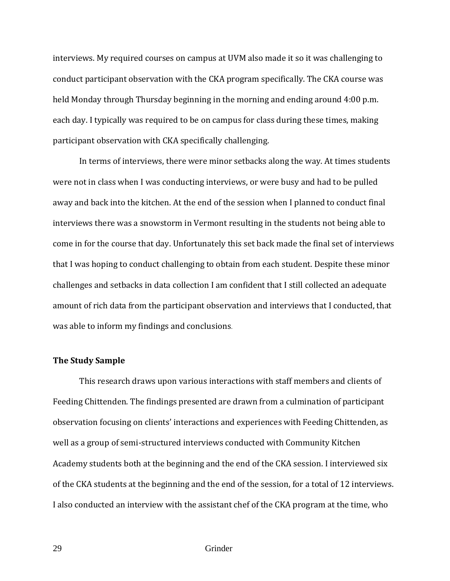interviews. My required courses on campus at UVM also made it so it was challenging to conduct participant observation with the CKA program specifically. The CKA course was held Monday through Thursday beginning in the morning and ending around 4:00 p.m. each day. I typically was required to be on campus for class during these times, making participant observation with CKA specifically challenging.

In terms of interviews, there were minor setbacks along the way. At times students were not in class when I was conducting interviews, or were busy and had to be pulled away and back into the kitchen. At the end of the session when I planned to conduct final interviews there was a snowstorm in Vermont resulting in the students not being able to come in for the course that day. Unfortunately this set back made the final set of interviews that I was hoping to conduct challenging to obtain from each student. Despite these minor challenges and setbacks in data collection I am confident that I still collected an adequate amount of rich data from the participant observation and interviews that I conducted, that was able to inform my findings and conclusions.

# **The Study Sample**

This research draws upon various interactions with staff members and clients of Feeding Chittenden. The findings presented are drawn from a culmination of participant observation focusing on clients' interactions and experiences with Feeding Chittenden, as well as a group of semi-structured interviews conducted with Community Kitchen Academy students both at the beginning and the end of the CKA session. I interviewed six of the CKA students at the beginning and the end of the session, for a total of 12 interviews. I also conducted an interview with the assistant chef of the CKA program at the time, who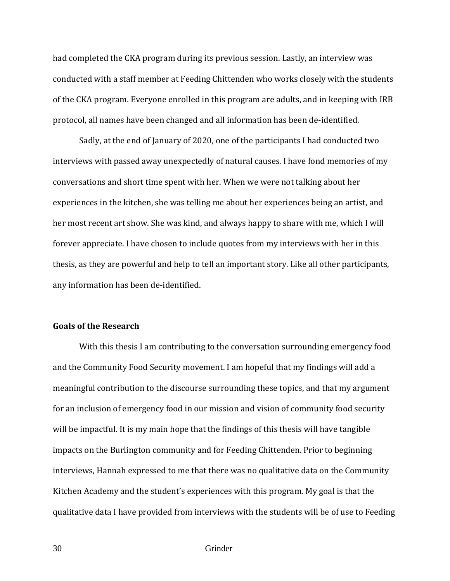had completed the CKA program during its previous session. Lastly, an interview was conducted with a staff member at Feeding Chittenden who works closely with the students of the CKA program. Everyone enrolled in this program are adults, and in keeping with IRB protocol, all names have been changed and all information has been de-identified.

 Sadly, at the end of January of 2020, one of the participants I had conducted two interviews with passed away unexpectedly of natural causes. I have fond memories of my conversations and short time spent with her. When we were not talking about her experiences in the kitchen, she was telling me about her experiences being an artist, and her most recent art show. She was kind, and always happy to share with me, which I will forever appreciate. I have chosen to include quotes from my interviews with her in this thesis, as they are powerful and help to tell an important story. Like all other participants, any information has been de-identified.

# **Goals of the Research**

 With this thesis I am contributing to the conversation surrounding emergency food and the Community Food Security movement. I am hopeful that my findings will add a meaningful contribution to the discourse surrounding these topics, and that my argument for an inclusion of emergency food in our mission and vision of community food security will be impactful. It is my main hope that the findings of this thesis will have tangible impacts on the Burlington community and for Feeding Chittenden. Prior to beginning interviews, Hannah expressed to me that there was no qualitative data on the Community Kitchen Academy and the student's experiences with this program. My goal is that the qualitative data I have provided from interviews with the students will be of use to Feeding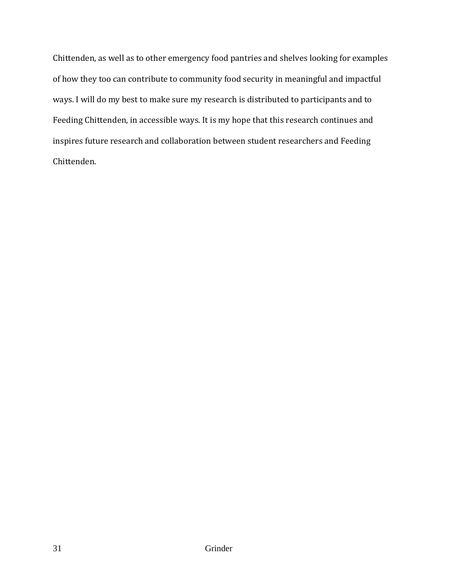Chittenden, as well as to other emergency food pantries and shelves looking for examples of how they too can contribute to community food security in meaningful and impactful ways. I will do my best to make sure my research is distributed to participants and to Feeding Chittenden, in accessible ways. It is my hope that this research continues and inspires future research and collaboration between student researchers and Feeding Chittenden.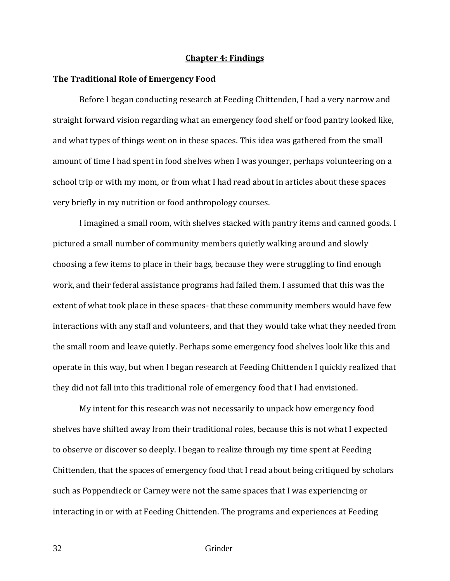### **Chapter 4: Findings**

# **The Traditional Role of Emergency Food**

Before I began conducting research at Feeding Chittenden, I had a very narrow and straight forward vision regarding what an emergency food shelf or food pantry looked like, and what types of things went on in these spaces. This idea was gathered from the small amount of time I had spent in food shelves when I was younger, perhaps volunteering on a school trip or with my mom, or from what I had read about in articles about these spaces very briefly in my nutrition or food anthropology courses.

 I imagined a small room, with shelves stacked with pantry items and canned goods. I pictured a small number of community members quietly walking around and slowly choosing a few items to place in their bags, because they were struggling to find enough work, and their federal assistance programs had failed them. I assumed that this was the extent of what took place in these spaces- that these community members would have few interactions with any staff and volunteers, and that they would take what they needed from the small room and leave quietly. Perhaps some emergency food shelves look like this and operate in this way, but when I began research at Feeding Chittenden I quickly realized that they did not fall into this traditional role of emergency food that I had envisioned.

 My intent for this research was not necessarily to unpack how emergency food shelves have shifted away from their traditional roles, because this is not what I expected to observe or discover so deeply. I began to realize through my time spent at Feeding Chittenden, that the spaces of emergency food that I read about being critiqued by scholars such as Poppendieck or Carney were not the same spaces that I was experiencing or interacting in or with at Feeding Chittenden. The programs and experiences at Feeding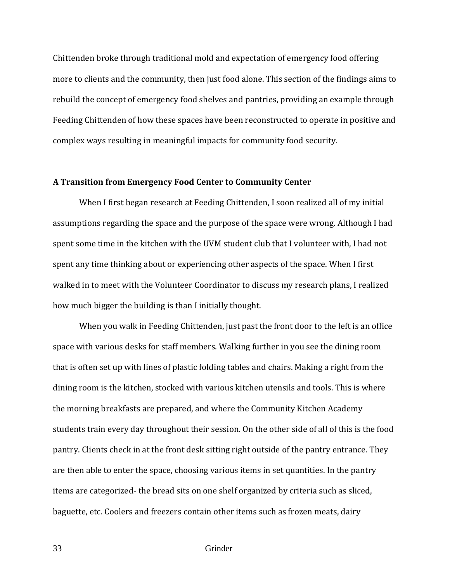Chittenden broke through traditional mold and expectation of emergency food offering more to clients and the community, then just food alone. This section of the findings aims to rebuild the concept of emergency food shelves and pantries, providing an example through Feeding Chittenden of how these spaces have been reconstructed to operate in positive and complex ways resulting in meaningful impacts for community food security.

# **A Transition from Emergency Food Center to Community Center**

When I first began research at Feeding Chittenden, I soon realized all of my initial assumptions regarding the space and the purpose of the space were wrong. Although I had spent some time in the kitchen with the UVM student club that I volunteer with, I had not spent any time thinking about or experiencing other aspects of the space. When I first walked in to meet with the Volunteer Coordinator to discuss my research plans, I realized how much bigger the building is than I initially thought.

When you walk in Feeding Chittenden, just past the front door to the left is an office space with various desks for staff members. Walking further in you see the dining room that is often set up with lines of plastic folding tables and chairs. Making a right from the dining room is the kitchen, stocked with various kitchen utensils and tools. This is where the morning breakfasts are prepared, and where the Community Kitchen Academy students train every day throughout their session. On the other side of all of this is the food pantry. Clients check in at the front desk sitting right outside of the pantry entrance. They are then able to enter the space, choosing various items in set quantities. In the pantry items are categorized- the bread sits on one shelf organized by criteria such as sliced, baguette, etc. Coolers and freezers contain other items such as frozen meats, dairy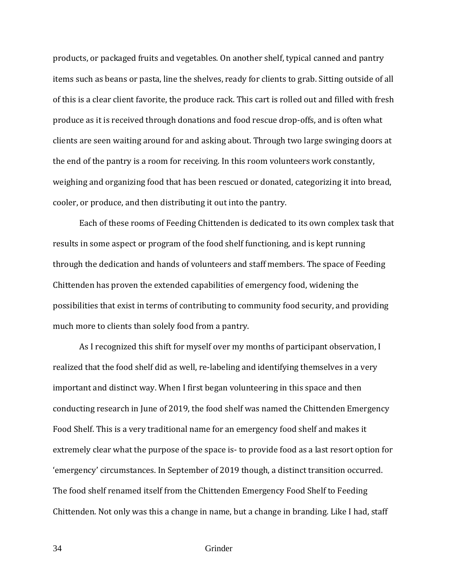products, or packaged fruits and vegetables. On another shelf, typical canned and pantry items such as beans or pasta, line the shelves, ready for clients to grab. Sitting outside of all of this is a clear client favorite, the produce rack. This cart is rolled out and filled with fresh produce as it is received through donations and food rescue drop-offs, and is often what clients are seen waiting around for and asking about. Through two large swinging doors at the end of the pantry is a room for receiving. In this room volunteers work constantly, weighing and organizing food that has been rescued or donated, categorizing it into bread, cooler, or produce, and then distributing it out into the pantry.

Each of these rooms of Feeding Chittenden is dedicated to its own complex task that results in some aspect or program of the food shelf functioning, and is kept running through the dedication and hands of volunteers and staff members. The space of Feeding Chittenden has proven the extended capabilities of emergency food, widening the possibilities that exist in terms of contributing to community food security, and providing much more to clients than solely food from a pantry.

As I recognized this shift for myself over my months of participant observation, I realized that the food shelf did as well, re-labeling and identifying themselves in a very important and distinct way. When I first began volunteering in this space and then conducting research in June of 2019, the food shelf was named the Chittenden Emergency Food Shelf. This is a very traditional name for an emergency food shelf and makes it extremely clear what the purpose of the space is- to provide food as a last resort option for 'emergency' circumstances. In September of 2019 though, a distinct transition occurred. The food shelf renamed itself from the Chittenden Emergency Food Shelf to Feeding Chittenden. Not only was this a change in name, but a change in branding. Like I had, staff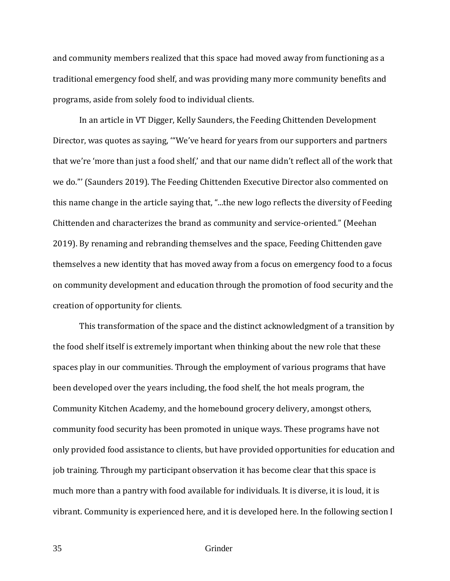and community members realized that this space had moved away from functioning as a traditional emergency food shelf, and was providing many more community benefits and programs, aside from solely food to individual clients.

In an article in VT Digger, Kelly Saunders, the Feeding Chittenden Development Director, was quotes as saying, '"We've heard for years from our supporters and partners that we're 'more than just a food shelf,' and that our name didn't reflect all of the work that we do."' (Saunders 2019). The Feeding Chittenden Executive Director also commented on this name change in the article saying that, "...the new logo reflects the diversity of Feeding Chittenden and characterizes the brand as community and service-oriented." (Meehan 2019). By renaming and rebranding themselves and the space, Feeding Chittenden gave themselves a new identity that has moved away from a focus on emergency food to a focus on community development and education through the promotion of food security and the creation of opportunity for clients.

This transformation of the space and the distinct acknowledgment of a transition by the food shelf itself is extremely important when thinking about the new role that these spaces play in our communities. Through the employment of various programs that have been developed over the years including, the food shelf, the hot meals program, the Community Kitchen Academy, and the homebound grocery delivery, amongst others, community food security has been promoted in unique ways. These programs have not only provided food assistance to clients, but have provided opportunities for education and job training. Through my participant observation it has become clear that this space is much more than a pantry with food available for individuals. It is diverse, it is loud, it is vibrant. Community is experienced here, and it is developed here. In the following section I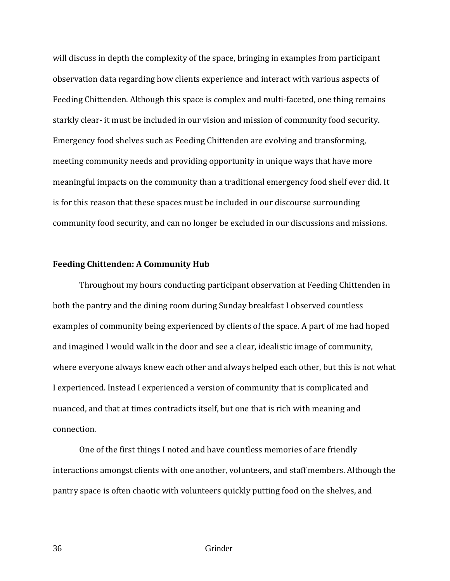will discuss in depth the complexity of the space, bringing in examples from participant observation data regarding how clients experience and interact with various aspects of Feeding Chittenden. Although this space is complex and multi-faceted, one thing remains starkly clear- it must be included in our vision and mission of community food security. Emergency food shelves such as Feeding Chittenden are evolving and transforming, meeting community needs and providing opportunity in unique ways that have more meaningful impacts on the community than a traditional emergency food shelf ever did. It is for this reason that these spaces must be included in our discourse surrounding community food security, and can no longer be excluded in our discussions and missions.

# **Feeding Chittenden: A Community Hub**

Throughout my hours conducting participant observation at Feeding Chittenden in both the pantry and the dining room during Sunday breakfast I observed countless examples of community being experienced by clients of the space. A part of me had hoped and imagined I would walk in the door and see a clear, idealistic image of community, where everyone always knew each other and always helped each other, but this is not what I experienced. Instead I experienced a version of community that is complicated and nuanced, and that at times contradicts itself, but one that is rich with meaning and connection.

 One of the first things I noted and have countless memories of are friendly interactions amongst clients with one another, volunteers, and staff members. Although the pantry space is often chaotic with volunteers quickly putting food on the shelves, and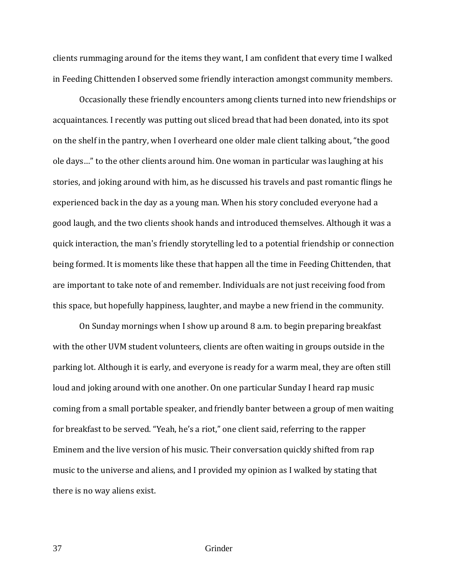clients rummaging around for the items they want, I am confident that every time I walked in Feeding Chittenden I observed some friendly interaction amongst community members.

 Occasionally these friendly encounters among clients turned into new friendships or acquaintances. I recently was putting out sliced bread that had been donated, into its spot on the shelf in the pantry, when I overheard one older male client talking about, "the good ole days…" to the other clients around him. One woman in particular was laughing at his stories, and joking around with him, as he discussed his travels and past romantic flings he experienced back in the day as a young man. When his story concluded everyone had a good laugh, and the two clients shook hands and introduced themselves. Although it was a quick interaction, the man's friendly storytelling led to a potential friendship or connection being formed. It is moments like these that happen all the time in Feeding Chittenden, that are important to take note of and remember. Individuals are not just receiving food from this space, but hopefully happiness, laughter, and maybe a new friend in the community.

On Sunday mornings when I show up around 8 a.m. to begin preparing breakfast with the other UVM student volunteers, clients are often waiting in groups outside in the parking lot. Although it is early, and everyone is ready for a warm meal, they are often still loud and joking around with one another. On one particular Sunday I heard rap music coming from a small portable speaker, and friendly banter between a group of men waiting for breakfast to be served. "Yeah, he's a riot," one client said, referring to the rapper Eminem and the live version of his music. Their conversation quickly shifted from rap music to the universe and aliens, and I provided my opinion as I walked by stating that there is no way aliens exist.

37 Grinder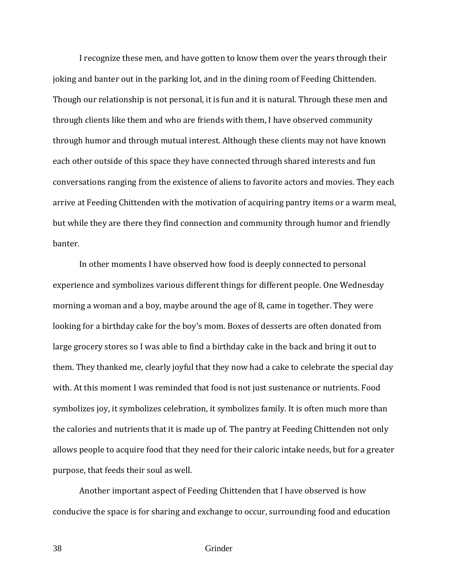I recognize these men, and have gotten to know them over the years through their joking and banter out in the parking lot, and in the dining room of Feeding Chittenden. Though our relationship is not personal, it is fun and it is natural. Through these men and through clients like them and who are friends with them, I have observed community through humor and through mutual interest. Although these clients may not have known each other outside of this space they have connected through shared interests and fun conversations ranging from the existence of aliens to favorite actors and movies. They each arrive at Feeding Chittenden with the motivation of acquiring pantry items or a warm meal, but while they are there they find connection and community through humor and friendly banter.

 In other moments I have observed how food is deeply connected to personal experience and symbolizes various different things for different people. One Wednesday morning a woman and a boy, maybe around the age of 8, came in together. They were looking for a birthday cake for the boy's mom. Boxes of desserts are often donated from large grocery stores so I was able to find a birthday cake in the back and bring it out to them. They thanked me, clearly joyful that they now had a cake to celebrate the special day with. At this moment I was reminded that food is not just sustenance or nutrients. Food symbolizes joy, it symbolizes celebration, it symbolizes family. It is often much more than the calories and nutrients that it is made up of. The pantry at Feeding Chittenden not only allows people to acquire food that they need for their caloric intake needs, but for a greater purpose, that feeds their soul as well.

 Another important aspect of Feeding Chittenden that I have observed is how conducive the space is for sharing and exchange to occur, surrounding food and education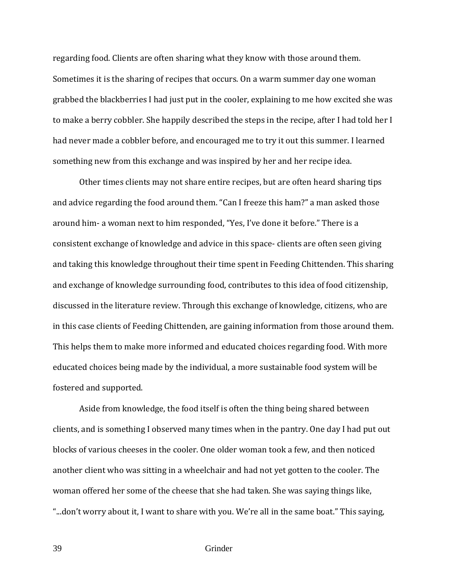regarding food. Clients are often sharing what they know with those around them. Sometimes it is the sharing of recipes that occurs. On a warm summer day one woman grabbed the blackberries I had just put in the cooler, explaining to me how excited she was to make a berry cobbler. She happily described the steps in the recipe, after I had told her I had never made a cobbler before, and encouraged me to try it out this summer. I learned something new from this exchange and was inspired by her and her recipe idea.

 Other times clients may not share entire recipes, but are often heard sharing tips and advice regarding the food around them. "Can I freeze this ham?" a man asked those around him- a woman next to him responded, "Yes, I've done it before." There is a consistent exchange of knowledge and advice in this space- clients are often seen giving and taking this knowledge throughout their time spent in Feeding Chittenden. This sharing and exchange of knowledge surrounding food, contributes to this idea of food citizenship, discussed in the literature review. Through this exchange of knowledge, citizens, who are in this case clients of Feeding Chittenden, are gaining information from those around them. This helps them to make more informed and educated choices regarding food. With more educated choices being made by the individual, a more sustainable food system will be fostered and supported.

 Aside from knowledge, the food itself is often the thing being shared between clients, and is something I observed many times when in the pantry. One day I had put out blocks of various cheeses in the cooler. One older woman took a few, and then noticed another client who was sitting in a wheelchair and had not yet gotten to the cooler. The woman offered her some of the cheese that she had taken. She was saying things like, "...don't worry about it, I want to share with you. We're all in the same boat." This saying,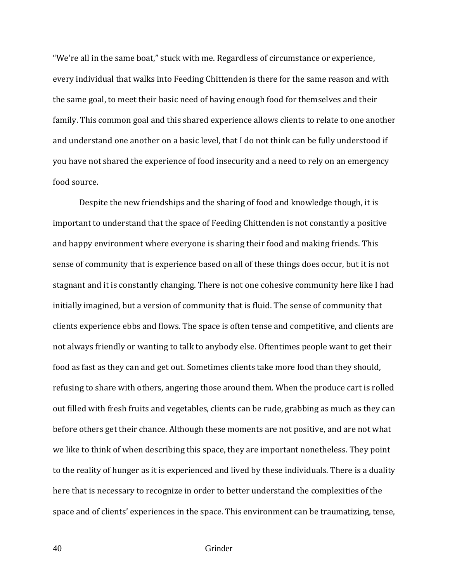"We're all in the same boat," stuck with me. Regardless of circumstance or experience, every individual that walks into Feeding Chittenden is there for the same reason and with the same goal, to meet their basic need of having enough food for themselves and their family. This common goal and this shared experience allows clients to relate to one another and understand one another on a basic level, that I do not think can be fully understood if you have not shared the experience of food insecurity and a need to rely on an emergency food source.

 Despite the new friendships and the sharing of food and knowledge though, it is important to understand that the space of Feeding Chittenden is not constantly a positive and happy environment where everyone is sharing their food and making friends. This sense of community that is experience based on all of these things does occur, but it is not stagnant and it is constantly changing. There is not one cohesive community here like I had initially imagined, but a version of community that is fluid. The sense of community that clients experience ebbs and flows. The space is often tense and competitive, and clients are not always friendly or wanting to talk to anybody else. Oftentimes people want to get their food as fast as they can and get out. Sometimes clients take more food than they should, refusing to share with others, angering those around them. When the produce cart is rolled out filled with fresh fruits and vegetables, clients can be rude, grabbing as much as they can before others get their chance. Although these moments are not positive, and are not what we like to think of when describing this space, they are important nonetheless. They point to the reality of hunger as it is experienced and lived by these individuals. There is a duality here that is necessary to recognize in order to better understand the complexities of the space and of clients' experiences in the space. This environment can be traumatizing, tense,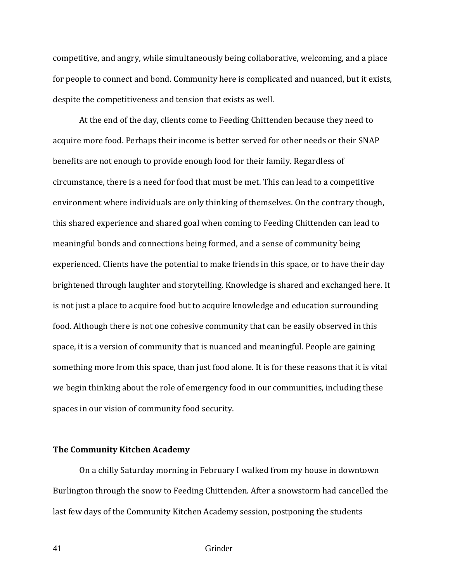competitive, and angry, while simultaneously being collaborative, welcoming, and a place for people to connect and bond. Community here is complicated and nuanced, but it exists, despite the competitiveness and tension that exists as well.

 At the end of the day, clients come to Feeding Chittenden because they need to acquire more food. Perhaps their income is better served for other needs or their SNAP benefits are not enough to provide enough food for their family. Regardless of circumstance, there is a need for food that must be met. This can lead to a competitive environment where individuals are only thinking of themselves. On the contrary though, this shared experience and shared goal when coming to Feeding Chittenden can lead to meaningful bonds and connections being formed, and a sense of community being experienced. Clients have the potential to make friends in this space, or to have their day brightened through laughter and storytelling. Knowledge is shared and exchanged here. It is not just a place to acquire food but to acquire knowledge and education surrounding food. Although there is not one cohesive community that can be easily observed in this space, it is a version of community that is nuanced and meaningful. People are gaining something more from this space, than just food alone. It is for these reasons that it is vital we begin thinking about the role of emergency food in our communities, including these spaces in our vision of community food security.

## **The Community Kitchen Academy**

On a chilly Saturday morning in February I walked from my house in downtown Burlington through the snow to Feeding Chittenden. After a snowstorm had cancelled the last few days of the Community Kitchen Academy session, postponing the students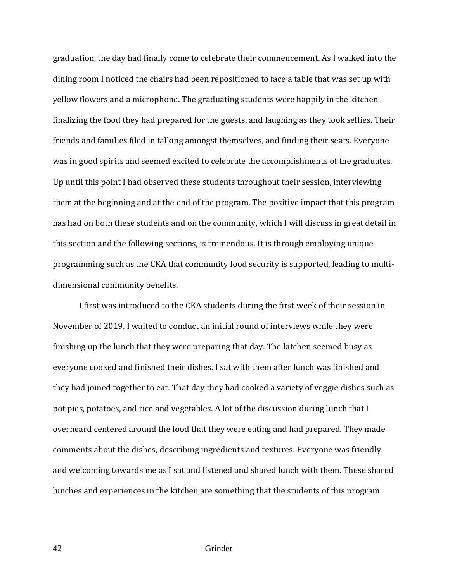graduation, the day had finally come to celebrate their commencement. As I walked into the dining room I noticed the chairs had been repositioned to face a table that was set up with yellow flowers and a microphone. The graduating students were happily in the kitchen finalizing the food they had prepared for the guests, and laughing as they took selfies. Their friends and families filed in talking amongst themselves, and finding their seats. Everyone was in good spirits and seemed excited to celebrate the accomplishments of the graduates. Up until this point I had observed these students throughout their session, interviewing them at the beginning and at the end of the program. The positive impact that this program has had on both these students and on the community, which I will discuss in great detail in this section and the following sections, is tremendous. It is through employing unique programming such as the CKA that community food security is supported, leading to multidimensional community benefits.

 I first was introduced to the CKA students during the first week of their session in November of 2019. I waited to conduct an initial round of interviews while they were finishing up the lunch that they were preparing that day. The kitchen seemed busy as everyone cooked and finished their dishes. I sat with them after lunch was finished and they had joined together to eat. That day they had cooked a variety of veggie dishes such as pot pies, potatoes, and rice and vegetables. A lot of the discussion during lunch that I overheard centered around the food that they were eating and had prepared. They made comments about the dishes, describing ingredients and textures. Everyone was friendly and welcoming towards me as I sat and listened and shared lunch with them. These shared lunches and experiences in the kitchen are something that the students of this program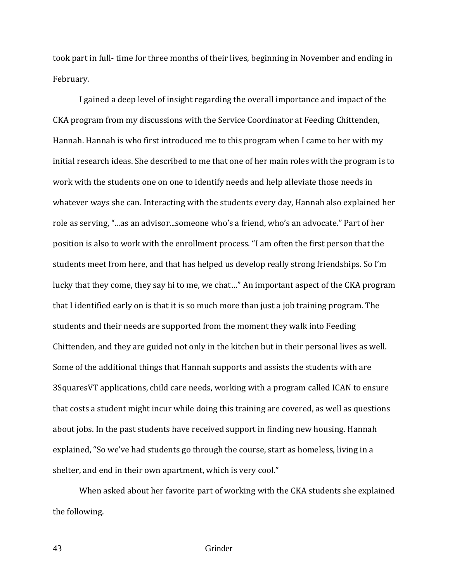took part in full- time for three months of their lives, beginning in November and ending in February.

 I gained a deep level of insight regarding the overall importance and impact of the CKA program from my discussions with the Service Coordinator at Feeding Chittenden, Hannah. Hannah is who first introduced me to this program when I came to her with my initial research ideas. She described to me that one of her main roles with the program is to work with the students one on one to identify needs and help alleviate those needs in whatever ways she can. Interacting with the students every day, Hannah also explained her role as serving, "...as an advisor...someone who's a friend, who's an advocate." Part of her position is also to work with the enrollment process. "I am often the first person that the students meet from here, and that has helped us develop really strong friendships. So I'm lucky that they come, they say hi to me, we chat…" An important aspect of the CKA program that I identified early on is that it is so much more than just a job training program. The students and their needs are supported from the moment they walk into Feeding Chittenden, and they are guided not only in the kitchen but in their personal lives as well. Some of the additional things that Hannah supports and assists the students with are 3SquaresVT applications, child care needs, working with a program called ICAN to ensure that costs a student might incur while doing this training are covered, as well as questions about jobs. In the past students have received support in finding new housing. Hannah explained, "So we've had students go through the course, start as homeless, living in a shelter, and end in their own apartment, which is very cool."

 When asked about her favorite part of working with the CKA students she explained the following.

43 Grinder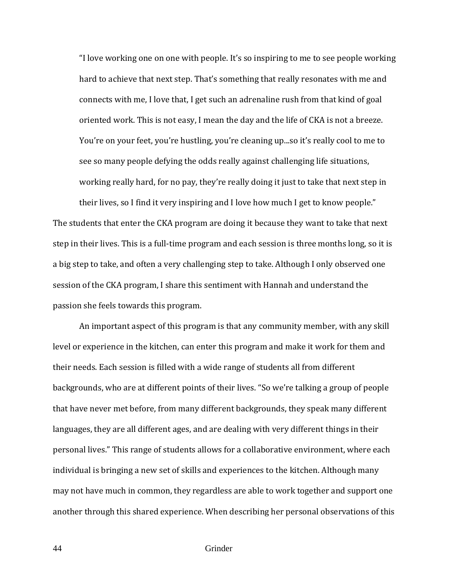"I love working one on one with people. It's so inspiring to me to see people working hard to achieve that next step. That's something that really resonates with me and connects with me, I love that, I get such an adrenaline rush from that kind of goal oriented work. This is not easy, I mean the day and the life of CKA is not a breeze. You're on your feet, you're hustling, you're cleaning up...so it's really cool to me to see so many people defying the odds really against challenging life situations, working really hard, for no pay, they're really doing it just to take that next step in their lives, so I find it very inspiring and I love how much I get to know people."

The students that enter the CKA program are doing it because they want to take that next step in their lives. This is a full-time program and each session is three months long, so it is a big step to take, and often a very challenging step to take. Although I only observed one session of the CKA program, I share this sentiment with Hannah and understand the passion she feels towards this program.

 An important aspect of this program is that any community member, with any skill level or experience in the kitchen, can enter this program and make it work for them and their needs. Each session is filled with a wide range of students all from different backgrounds, who are at different points of their lives. "So we're talking a group of people that have never met before, from many different backgrounds, they speak many different languages, they are all different ages, and are dealing with very different things in their personal lives." This range of students allows for a collaborative environment, where each individual is bringing a new set of skills and experiences to the kitchen. Although many may not have much in common, they regardless are able to work together and support one another through this shared experience. When describing her personal observations of this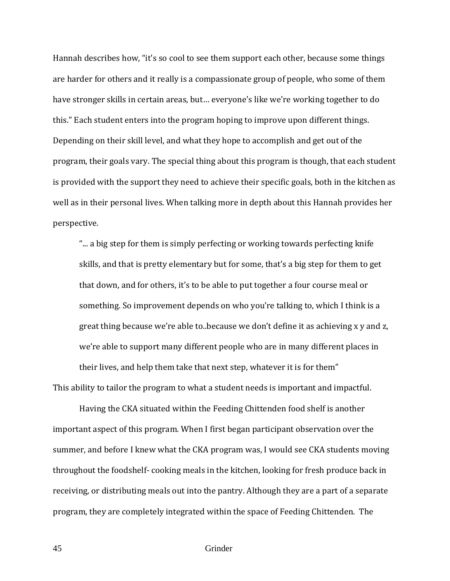Hannah describes how, "it's so cool to see them support each other, because some things are harder for others and it really is a compassionate group of people, who some of them have stronger skills in certain areas, but… everyone's like we're working together to do this." Each student enters into the program hoping to improve upon different things. Depending on their skill level, and what they hope to accomplish and get out of the program, their goals vary. The special thing about this program is though, that each student is provided with the support they need to achieve their specific goals, both in the kitchen as well as in their personal lives. When talking more in depth about this Hannah provides her perspective.

"... a big step for them is simply perfecting or working towards perfecting knife skills, and that is pretty elementary but for some, that's a big step for them to get that down, and for others, it's to be able to put together a four course meal or something. So improvement depends on who you're talking to, which I think is a great thing because we're able to..because we don't define it as achieving x y and z, we're able to support many different people who are in many different places in their lives, and help them take that next step, whatever it is for them" This ability to tailor the program to what a student needs is important and impactful.

 Having the CKA situated within the Feeding Chittenden food shelf is another important aspect of this program. When I first began participant observation over the summer, and before I knew what the CKA program was, I would see CKA students moving throughout the foodshelf- cooking meals in the kitchen, looking for fresh produce back in receiving, or distributing meals out into the pantry. Although they are a part of a separate program, they are completely integrated within the space of Feeding Chittenden. The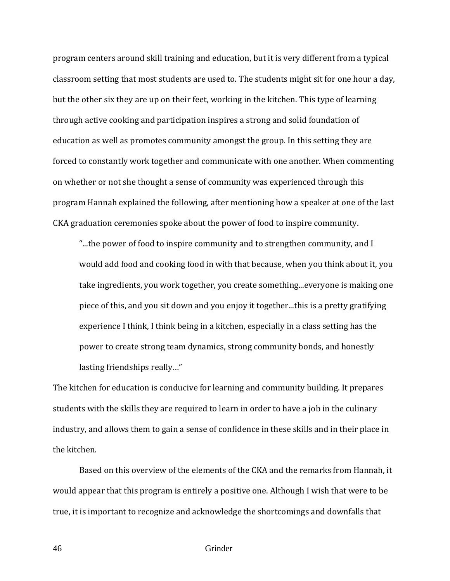program centers around skill training and education, but it is very different from a typical classroom setting that most students are used to. The students might sit for one hour a day, but the other six they are up on their feet, working in the kitchen. This type of learning through active cooking and participation inspires a strong and solid foundation of education as well as promotes community amongst the group. In this setting they are forced to constantly work together and communicate with one another. When commenting on whether or not she thought a sense of community was experienced through this program Hannah explained the following, after mentioning how a speaker at one of the last CKA graduation ceremonies spoke about the power of food to inspire community.

"...the power of food to inspire community and to strengthen community, and I would add food and cooking food in with that because, when you think about it, you take ingredients, you work together, you create something...everyone is making one piece of this, and you sit down and you enjoy it together...this is a pretty gratifying experience I think, I think being in a kitchen, especially in a class setting has the power to create strong team dynamics, strong community bonds, and honestly lasting friendships really…"

The kitchen for education is conducive for learning and community building. It prepares students with the skills they are required to learn in order to have a job in the culinary industry, and allows them to gain a sense of confidence in these skills and in their place in the kitchen.

Based on this overview of the elements of the CKA and the remarks from Hannah, it would appear that this program is entirely a positive one. Although I wish that were to be true, it is important to recognize and acknowledge the shortcomings and downfalls that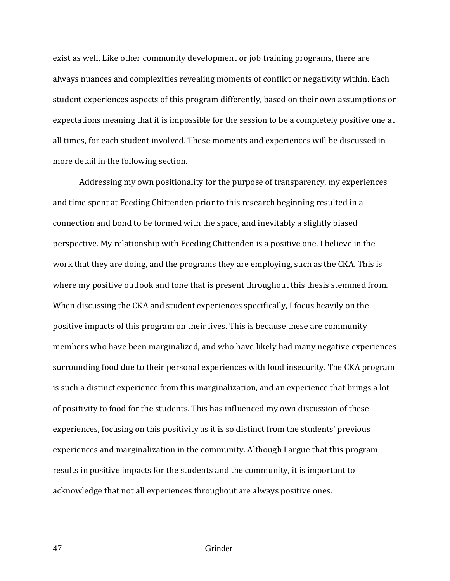exist as well. Like other community development or job training programs, there are always nuances and complexities revealing moments of conflict or negativity within. Each student experiences aspects of this program differently, based on their own assumptions or expectations meaning that it is impossible for the session to be a completely positive one at all times, for each student involved. These moments and experiences will be discussed in more detail in the following section.

Addressing my own positionality for the purpose of transparency, my experiences and time spent at Feeding Chittenden prior to this research beginning resulted in a connection and bond to be formed with the space, and inevitably a slightly biased perspective. My relationship with Feeding Chittenden is a positive one. I believe in the work that they are doing, and the programs they are employing, such as the CKA. This is where my positive outlook and tone that is present throughout this thesis stemmed from. When discussing the CKA and student experiences specifically, I focus heavily on the positive impacts of this program on their lives. This is because these are community members who have been marginalized, and who have likely had many negative experiences surrounding food due to their personal experiences with food insecurity. The CKA program is such a distinct experience from this marginalization, and an experience that brings a lot of positivity to food for the students. This has influenced my own discussion of these experiences, focusing on this positivity as it is so distinct from the students' previous experiences and marginalization in the community. Although I argue that this program results in positive impacts for the students and the community, it is important to acknowledge that not all experiences throughout are always positive ones.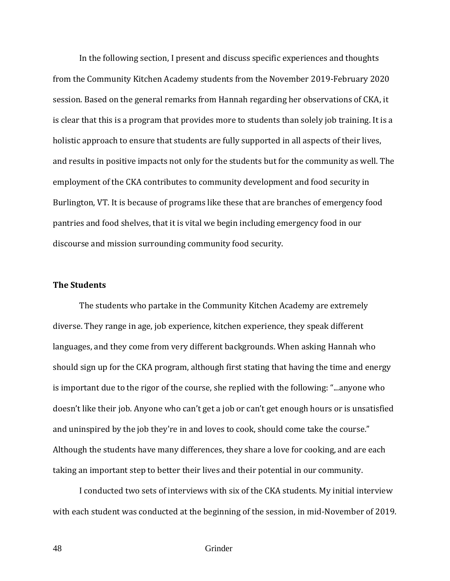In the following section, I present and discuss specific experiences and thoughts from the Community Kitchen Academy students from the November 2019-February 2020 session. Based on the general remarks from Hannah regarding her observations of CKA, it is clear that this is a program that provides more to students than solely job training. It is a holistic approach to ensure that students are fully supported in all aspects of their lives, and results in positive impacts not only for the students but for the community as well. The employment of the CKA contributes to community development and food security in Burlington, VT. It is because of programs like these that are branches of emergency food pantries and food shelves, that it is vital we begin including emergency food in our discourse and mission surrounding community food security.

# **The Students**

 The students who partake in the Community Kitchen Academy are extremely diverse. They range in age, job experience, kitchen experience, they speak different languages, and they come from very different backgrounds. When asking Hannah who should sign up for the CKA program, although first stating that having the time and energy is important due to the rigor of the course, she replied with the following: "...anyone who doesn't like their job. Anyone who can't get a job or can't get enough hours or is unsatisfied and uninspired by the job they're in and loves to cook, should come take the course." Although the students have many differences, they share a love for cooking, and are each taking an important step to better their lives and their potential in our community.

I conducted two sets of interviews with six of the CKA students. My initial interview with each student was conducted at the beginning of the session, in mid-November of 2019.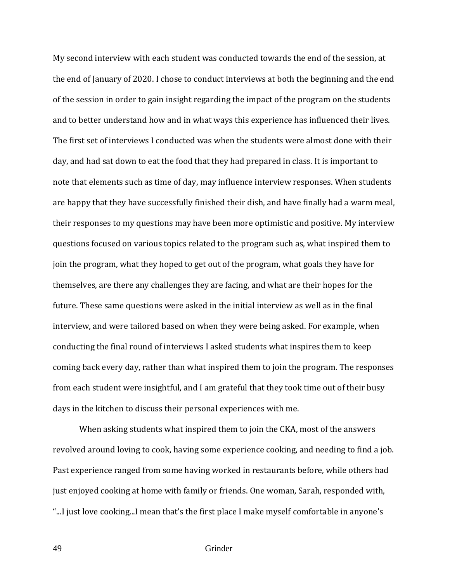My second interview with each student was conducted towards the end of the session, at the end of January of 2020. I chose to conduct interviews at both the beginning and the end of the session in order to gain insight regarding the impact of the program on the students and to better understand how and in what ways this experience has influenced their lives. The first set of interviews I conducted was when the students were almost done with their day, and had sat down to eat the food that they had prepared in class. It is important to note that elements such as time of day, may influence interview responses. When students are happy that they have successfully finished their dish, and have finally had a warm meal, their responses to my questions may have been more optimistic and positive. My interview questions focused on various topics related to the program such as, what inspired them to join the program, what they hoped to get out of the program, what goals they have for themselves, are there any challenges they are facing, and what are their hopes for the future. These same questions were asked in the initial interview as well as in the final interview, and were tailored based on when they were being asked. For example, when conducting the final round of interviews I asked students what inspires them to keep coming back every day, rather than what inspired them to join the program. The responses from each student were insightful, and I am grateful that they took time out of their busy days in the kitchen to discuss their personal experiences with me.

When asking students what inspired them to join the CKA, most of the answers revolved around loving to cook, having some experience cooking, and needing to find a job. Past experience ranged from some having worked in restaurants before, while others had just enjoyed cooking at home with family or friends. One woman, Sarah, responded with, "...I just love cooking...I mean that's the first place I make myself comfortable in anyone's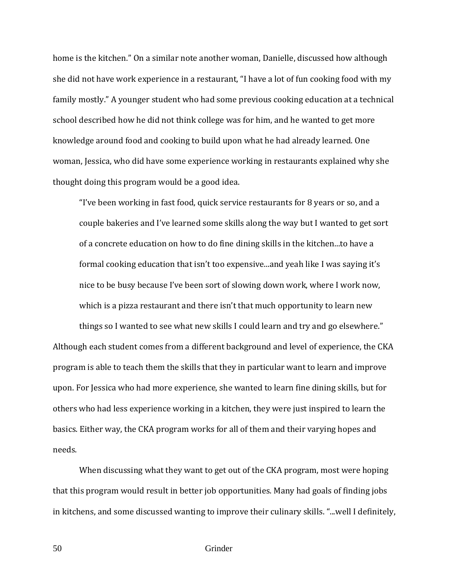home is the kitchen." On a similar note another woman, Danielle, discussed how although she did not have work experience in a restaurant, "I have a lot of fun cooking food with my family mostly." A younger student who had some previous cooking education at a technical school described how he did not think college was for him, and he wanted to get more knowledge around food and cooking to build upon what he had already learned. One woman, Jessica, who did have some experience working in restaurants explained why she thought doing this program would be a good idea.

"I've been working in fast food, quick service restaurants for 8 years or so, and a couple bakeries and I've learned some skills along the way but I wanted to get sort of a concrete education on how to do fine dining skills in the kitchen...to have a formal cooking education that isn't too expensive...and yeah like I was saying it's nice to be busy because I've been sort of slowing down work, where I work now, which is a pizza restaurant and there isn't that much opportunity to learn new

things so I wanted to see what new skills I could learn and try and go elsewhere." Although each student comes from a different background and level of experience, the CKA program is able to teach them the skills that they in particular want to learn and improve upon. For Jessica who had more experience, she wanted to learn fine dining skills, but for others who had less experience working in a kitchen, they were just inspired to learn the basics. Either way, the CKA program works for all of them and their varying hopes and needs.

When discussing what they want to get out of the CKA program, most were hoping that this program would result in better job opportunities. Many had goals of finding jobs in kitchens, and some discussed wanting to improve their culinary skills. "...well I definitely,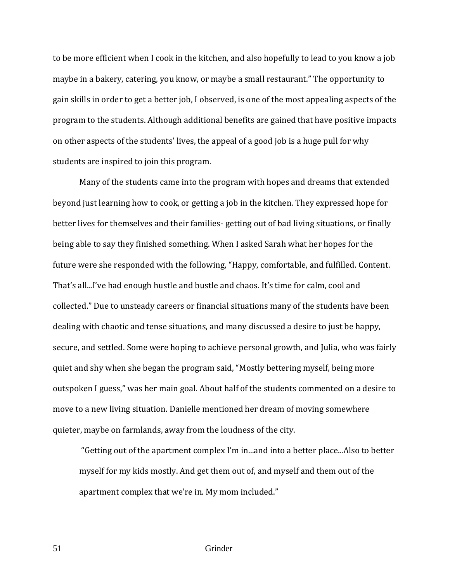to be more efficient when I cook in the kitchen, and also hopefully to lead to you know a job maybe in a bakery, catering, you know, or maybe a small restaurant." The opportunity to gain skills in order to get a better job, I observed, is one of the most appealing aspects of the program to the students. Although additional benefits are gained that have positive impacts on other aspects of the students' lives, the appeal of a good job is a huge pull for why students are inspired to join this program.

Many of the students came into the program with hopes and dreams that extended beyond just learning how to cook, or getting a job in the kitchen. They expressed hope for better lives for themselves and their families- getting out of bad living situations, or finally being able to say they finished something. When I asked Sarah what her hopes for the future were she responded with the following, "Happy, comfortable, and fulfilled. Content. That's all...I've had enough hustle and bustle and chaos. It's time for calm, cool and collected." Due to unsteady careers or financial situations many of the students have been dealing with chaotic and tense situations, and many discussed a desire to just be happy, secure, and settled. Some were hoping to achieve personal growth, and Julia, who was fairly quiet and shy when she began the program said, "Mostly bettering myself, being more outspoken I guess," was her main goal. About half of the students commented on a desire to move to a new living situation. Danielle mentioned her dream of moving somewhere quieter, maybe on farmlands, away from the loudness of the city.

"Getting out of the apartment complex I'm in...and into a better place...Also to better myself for my kids mostly. And get them out of, and myself and them out of the apartment complex that we're in. My mom included."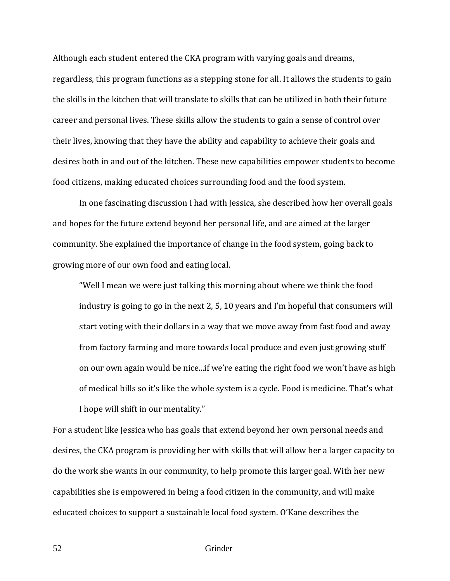Although each student entered the CKA program with varying goals and dreams, regardless, this program functions as a stepping stone for all. It allows the students to gain the skills in the kitchen that will translate to skills that can be utilized in both their future career and personal lives. These skills allow the students to gain a sense of control over their lives, knowing that they have the ability and capability to achieve their goals and desires both in and out of the kitchen. These new capabilities empower students to become food citizens, making educated choices surrounding food and the food system.

 In one fascinating discussion I had with Jessica, she described how her overall goals and hopes for the future extend beyond her personal life, and are aimed at the larger community. She explained the importance of change in the food system, going back to growing more of our own food and eating local.

"Well I mean we were just talking this morning about where we think the food industry is going to go in the next 2, 5, 10 years and I'm hopeful that consumers will start voting with their dollars in a way that we move away from fast food and away from factory farming and more towards local produce and even just growing stuff on our own again would be nice...if we're eating the right food we won't have as high of medical bills so it's like the whole system is a cycle. Food is medicine. That's what I hope will shift in our mentality."

For a student like Jessica who has goals that extend beyond her own personal needs and desires, the CKA program is providing her with skills that will allow her a larger capacity to do the work she wants in our community, to help promote this larger goal. With her new capabilities she is empowered in being a food citizen in the community, and will make educated choices to support a sustainable local food system. O'Kane describes the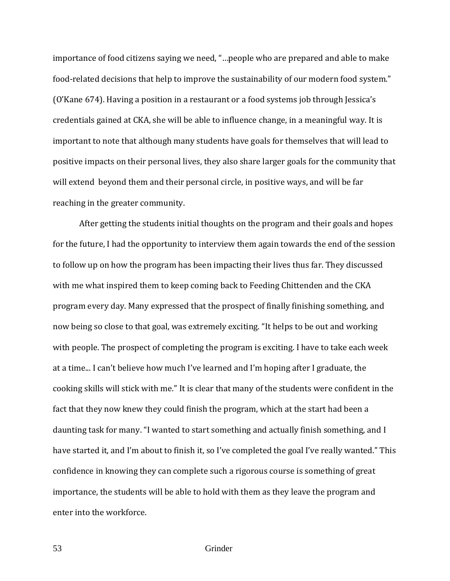importance of food citizens saying we need, "…people who are prepared and able to make food-related decisions that help to improve the sustainability of our modern food system." (O'Kane 674). Having a position in a restaurant or a food systems job through Jessica's credentials gained at CKA, she will be able to influence change, in a meaningful way. It is important to note that although many students have goals for themselves that will lead to positive impacts on their personal lives, they also share larger goals for the community that will extend beyond them and their personal circle, in positive ways, and will be far reaching in the greater community.

After getting the students initial thoughts on the program and their goals and hopes for the future, I had the opportunity to interview them again towards the end of the session to follow up on how the program has been impacting their lives thus far. They discussed with me what inspired them to keep coming back to Feeding Chittenden and the CKA program every day. Many expressed that the prospect of finally finishing something, and now being so close to that goal, was extremely exciting. "It helps to be out and working with people. The prospect of completing the program is exciting. I have to take each week at a time... I can't believe how much I've learned and I'm hoping after I graduate, the cooking skills will stick with me." It is clear that many of the students were confident in the fact that they now knew they could finish the program, which at the start had been a daunting task for many. "I wanted to start something and actually finish something, and I have started it, and I'm about to finish it, so I've completed the goal I've really wanted." This confidence in knowing they can complete such a rigorous course is something of great importance, the students will be able to hold with them as they leave the program and enter into the workforce.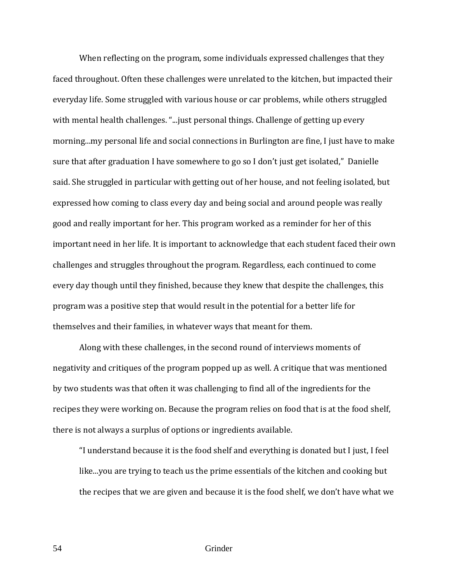When reflecting on the program, some individuals expressed challenges that they faced throughout. Often these challenges were unrelated to the kitchen, but impacted their everyday life. Some struggled with various house or car problems, while others struggled with mental health challenges. "...just personal things. Challenge of getting up every morning...my personal life and social connections in Burlington are fine, I just have to make sure that after graduation I have somewhere to go so I don't just get isolated," Danielle said. She struggled in particular with getting out of her house, and not feeling isolated, but expressed how coming to class every day and being social and around people was really good and really important for her. This program worked as a reminder for her of this important need in her life. It is important to acknowledge that each student faced their own challenges and struggles throughout the program. Regardless, each continued to come every day though until they finished, because they knew that despite the challenges, this program was a positive step that would result in the potential for a better life for themselves and their families, in whatever ways that meant for them.

Along with these challenges, in the second round of interviews moments of negativity and critiques of the program popped up as well. A critique that was mentioned by two students was that often it was challenging to find all of the ingredients for the recipes they were working on. Because the program relies on food that is at the food shelf, there is not always a surplus of options or ingredients available.

"I understand because it is the food shelf and everything is donated but I just, I feel like...you are trying to teach us the prime essentials of the kitchen and cooking but the recipes that we are given and because it is the food shelf, we don't have what we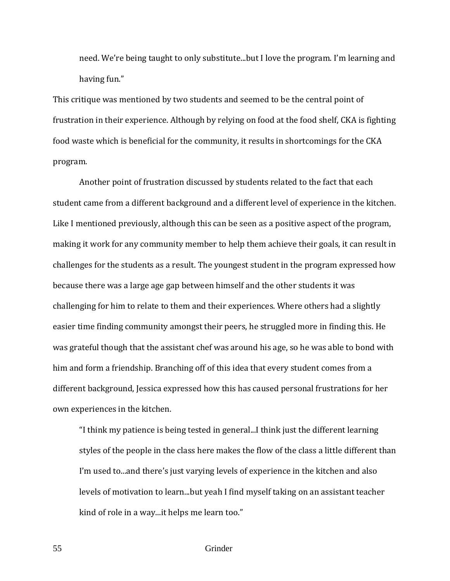need. We're being taught to only substitute...but I love the program. I'm learning and having fun."

This critique was mentioned by two students and seemed to be the central point of frustration in their experience. Although by relying on food at the food shelf, CKA is fighting food waste which is beneficial for the community, it results in shortcomings for the CKA program.

Another point of frustration discussed by students related to the fact that each student came from a different background and a different level of experience in the kitchen. Like I mentioned previously, although this can be seen as a positive aspect of the program, making it work for any community member to help them achieve their goals, it can result in challenges for the students as a result. The youngest student in the program expressed how because there was a large age gap between himself and the other students it was challenging for him to relate to them and their experiences. Where others had a slightly easier time finding community amongst their peers, he struggled more in finding this. He was grateful though that the assistant chef was around his age, so he was able to bond with him and form a friendship. Branching off of this idea that every student comes from a different background, Jessica expressed how this has caused personal frustrations for her own experiences in the kitchen.

"I think my patience is being tested in general...I think just the different learning styles of the people in the class here makes the flow of the class a little different than I'm used to...and there's just varying levels of experience in the kitchen and also levels of motivation to learn...but yeah I find myself taking on an assistant teacher kind of role in a way...it helps me learn too."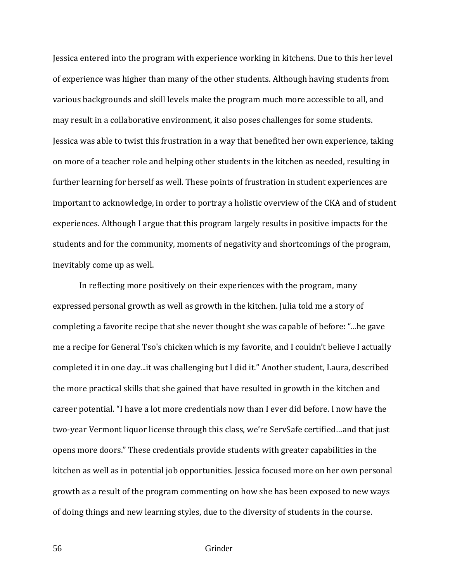Jessica entered into the program with experience working in kitchens. Due to this her level of experience was higher than many of the other students. Although having students from various backgrounds and skill levels make the program much more accessible to all, and may result in a collaborative environment, it also poses challenges for some students. Jessica was able to twist this frustration in a way that benefited her own experience, taking on more of a teacher role and helping other students in the kitchen as needed, resulting in further learning for herself as well. These points of frustration in student experiences are important to acknowledge, in order to portray a holistic overview of the CKA and of student experiences. Although I argue that this program largely results in positive impacts for the students and for the community, moments of negativity and shortcomings of the program, inevitably come up as well.

In reflecting more positively on their experiences with the program, many expressed personal growth as well as growth in the kitchen. Julia told me a story of completing a favorite recipe that she never thought she was capable of before: "...he gave me a recipe for General Tso's chicken which is my favorite, and I couldn't believe I actually completed it in one day...it was challenging but I did it." Another student, Laura, described the more practical skills that she gained that have resulted in growth in the kitchen and career potential. "I have a lot more credentials now than I ever did before. I now have the two-year Vermont liquor license through this class, we're ServSafe certified…and that just opens more doors." These credentials provide students with greater capabilities in the kitchen as well as in potential job opportunities. Jessica focused more on her own personal growth as a result of the program commenting on how she has been exposed to new ways of doing things and new learning styles, due to the diversity of students in the course.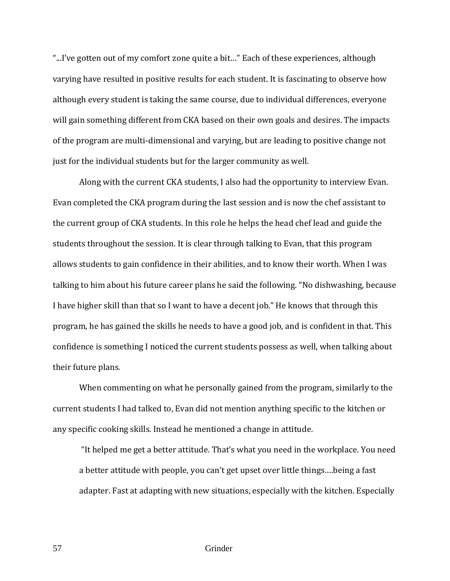"...I've gotten out of my comfort zone quite a bit…" Each of these experiences, although varying have resulted in positive results for each student. It is fascinating to observe how although every student is taking the same course, due to individual differences, everyone will gain something different from CKA based on their own goals and desires. The impacts of the program are multi-dimensional and varying, but are leading to positive change not just for the individual students but for the larger community as well.

Along with the current CKA students, I also had the opportunity to interview Evan. Evan completed the CKA program during the last session and is now the chef assistant to the current group of CKA students. In this role he helps the head chef lead and guide the students throughout the session. It is clear through talking to Evan, that this program allows students to gain confidence in their abilities, and to know their worth. When I was talking to him about his future career plans he said the following. "No dishwashing, because I have higher skill than that so I want to have a decent job." He knows that through this program, he has gained the skills he needs to have a good job, and is confident in that. This confidence is something I noticed the current students possess as well, when talking about their future plans.

When commenting on what he personally gained from the program, similarly to the current students I had talked to, Evan did not mention anything specific to the kitchen or any specific cooking skills. Instead he mentioned a change in attitude.

"It helped me get a better attitude. That's what you need in the workplace. You need a better attitude with people, you can't get upset over little things….being a fast adapter. Fast at adapting with new situations, especially with the kitchen. Especially

57 Grinder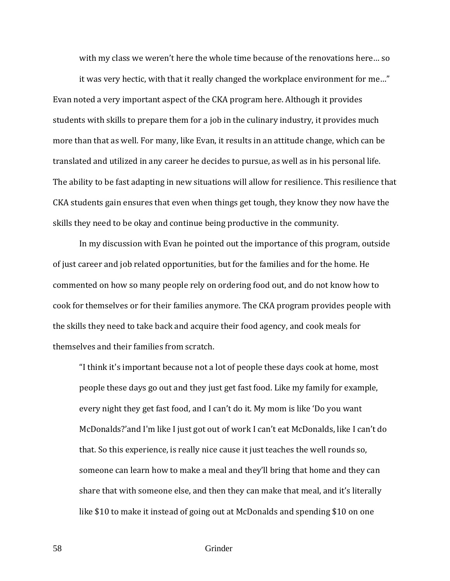with my class we weren't here the whole time because of the renovations here… so

it was very hectic, with that it really changed the workplace environment for me…" Evan noted a very important aspect of the CKA program here. Although it provides students with skills to prepare them for a job in the culinary industry, it provides much more than that as well. For many, like Evan, it results in an attitude change, which can be translated and utilized in any career he decides to pursue, as well as in his personal life. The ability to be fast adapting in new situations will allow for resilience. This resilience that CKA students gain ensures that even when things get tough, they know they now have the skills they need to be okay and continue being productive in the community.

In my discussion with Evan he pointed out the importance of this program, outside of just career and job related opportunities, but for the families and for the home. He commented on how so many people rely on ordering food out, and do not know how to cook for themselves or for their families anymore. The CKA program provides people with the skills they need to take back and acquire their food agency, and cook meals for themselves and their families from scratch.

"I think it's important because not a lot of people these days cook at home, most people these days go out and they just get fast food. Like my family for example, every night they get fast food, and I can't do it. My mom is like 'Do you want McDonalds?'and I'm like I just got out of work I can't eat McDonalds, like I can't do that. So this experience, is really nice cause it just teaches the well rounds so, someone can learn how to make a meal and they'll bring that home and they can share that with someone else, and then they can make that meal, and it's literally like \$10 to make it instead of going out at McDonalds and spending \$10 on one

58 Grinder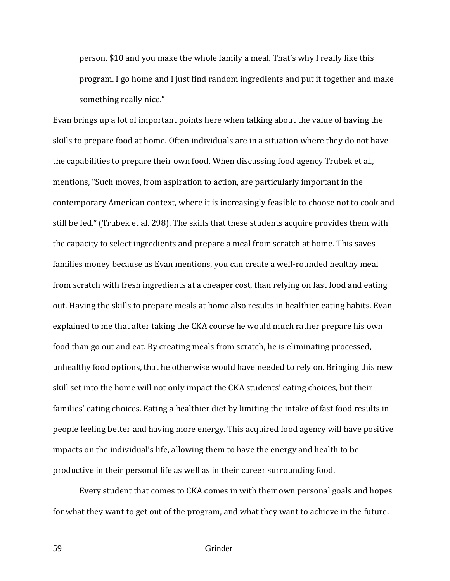person. \$10 and you make the whole family a meal. That's why I really like this program. I go home and I just find random ingredients and put it together and make something really nice."

Evan brings up a lot of important points here when talking about the value of having the skills to prepare food at home. Often individuals are in a situation where they do not have the capabilities to prepare their own food. When discussing food agency Trubek et al., mentions, "Such moves, from aspiration to action, are particularly important in the contemporary American context, where it is increasingly feasible to choose not to cook and still be fed." (Trubek et al. 298). The skills that these students acquire provides them with the capacity to select ingredients and prepare a meal from scratch at home. This saves families money because as Evan mentions, you can create a well-rounded healthy meal from scratch with fresh ingredients at a cheaper cost, than relying on fast food and eating out. Having the skills to prepare meals at home also results in healthier eating habits. Evan explained to me that after taking the CKA course he would much rather prepare his own food than go out and eat. By creating meals from scratch, he is eliminating processed, unhealthy food options, that he otherwise would have needed to rely on. Bringing this new skill set into the home will not only impact the CKA students' eating choices, but their families' eating choices. Eating a healthier diet by limiting the intake of fast food results in people feeling better and having more energy. This acquired food agency will have positive impacts on the individual's life, allowing them to have the energy and health to be productive in their personal life as well as in their career surrounding food.

 Every student that comes to CKA comes in with their own personal goals and hopes for what they want to get out of the program, and what they want to achieve in the future.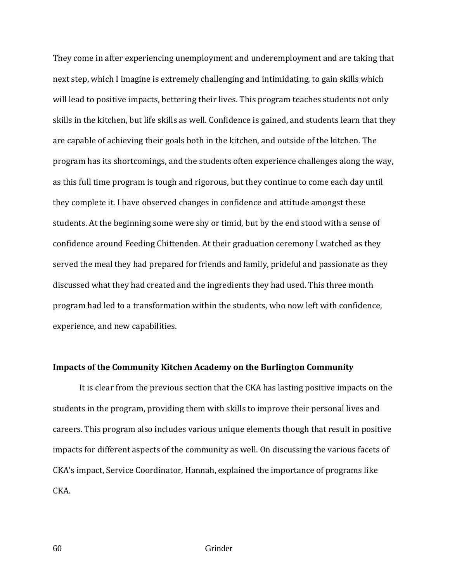They come in after experiencing unemployment and underemployment and are taking that next step, which I imagine is extremely challenging and intimidating, to gain skills which will lead to positive impacts, bettering their lives. This program teaches students not only skills in the kitchen, but life skills as well. Confidence is gained, and students learn that they are capable of achieving their goals both in the kitchen, and outside of the kitchen. The program has its shortcomings, and the students often experience challenges along the way, as this full time program is tough and rigorous, but they continue to come each day until they complete it. I have observed changes in confidence and attitude amongst these students. At the beginning some were shy or timid, but by the end stood with a sense of confidence around Feeding Chittenden. At their graduation ceremony I watched as they served the meal they had prepared for friends and family, prideful and passionate as they discussed what they had created and the ingredients they had used. This three month program had led to a transformation within the students, who now left with confidence, experience, and new capabilities.

# **Impacts of the Community Kitchen Academy on the Burlington Community**

 It is clear from the previous section that the CKA has lasting positive impacts on the students in the program, providing them with skills to improve their personal lives and careers. This program also includes various unique elements though that result in positive impacts for different aspects of the community as well. On discussing the various facets of CKA's impact, Service Coordinator, Hannah, explained the importance of programs like CKA.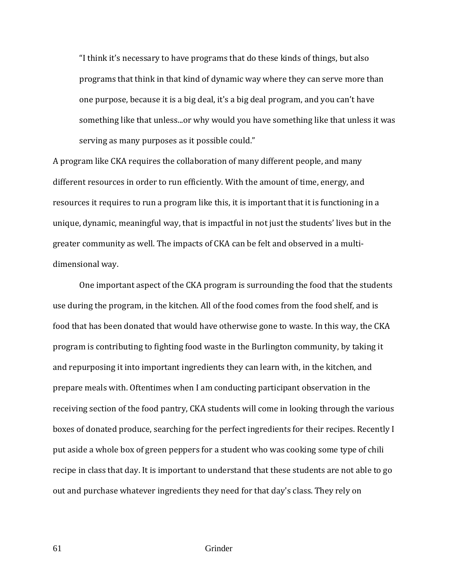"I think it's necessary to have programs that do these kinds of things, but also programs that think in that kind of dynamic way where they can serve more than one purpose, because it is a big deal, it's a big deal program, and you can't have something like that unless...or why would you have something like that unless it was serving as many purposes as it possible could."

A program like CKA requires the collaboration of many different people, and many different resources in order to run efficiently. With the amount of time, energy, and resources it requires to run a program like this, it is important that it is functioning in a unique, dynamic, meaningful way, that is impactful in not just the students' lives but in the greater community as well. The impacts of CKA can be felt and observed in a multidimensional way.

 One important aspect of the CKA program is surrounding the food that the students use during the program, in the kitchen. All of the food comes from the food shelf, and is food that has been donated that would have otherwise gone to waste. In this way, the CKA program is contributing to fighting food waste in the Burlington community, by taking it and repurposing it into important ingredients they can learn with, in the kitchen, and prepare meals with. Oftentimes when I am conducting participant observation in the receiving section of the food pantry, CKA students will come in looking through the various boxes of donated produce, searching for the perfect ingredients for their recipes. Recently I put aside a whole box of green peppers for a student who was cooking some type of chili recipe in class that day. It is important to understand that these students are not able to go out and purchase whatever ingredients they need for that day's class. They rely on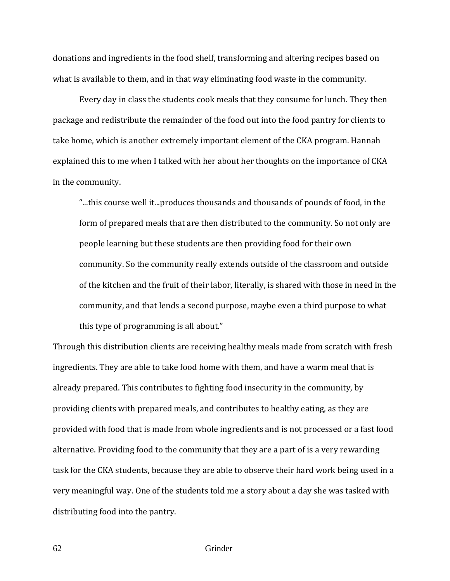donations and ingredients in the food shelf, transforming and altering recipes based on what is available to them, and in that way eliminating food waste in the community.

Every day in class the students cook meals that they consume for lunch. They then package and redistribute the remainder of the food out into the food pantry for clients to take home, which is another extremely important element of the CKA program. Hannah explained this to me when I talked with her about her thoughts on the importance of CKA in the community.

"...this course well it...produces thousands and thousands of pounds of food, in the form of prepared meals that are then distributed to the community. So not only are people learning but these students are then providing food for their own community. So the community really extends outside of the classroom and outside of the kitchen and the fruit of their labor, literally, is shared with those in need in the community, and that lends a second purpose, maybe even a third purpose to what this type of programming is all about."

Through this distribution clients are receiving healthy meals made from scratch with fresh ingredients. They are able to take food home with them, and have a warm meal that is already prepared. This contributes to fighting food insecurity in the community, by providing clients with prepared meals, and contributes to healthy eating, as they are provided with food that is made from whole ingredients and is not processed or a fast food alternative. Providing food to the community that they are a part of is a very rewarding task for the CKA students, because they are able to observe their hard work being used in a very meaningful way. One of the students told me a story about a day she was tasked with distributing food into the pantry.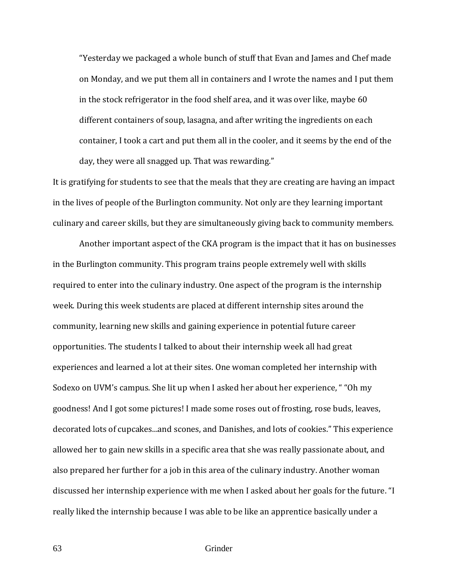"Yesterday we packaged a whole bunch of stuff that Evan and James and Chef made on Monday, and we put them all in containers and I wrote the names and I put them in the stock refrigerator in the food shelf area, and it was over like, maybe 60 different containers of soup, lasagna, and after writing the ingredients on each container, I took a cart and put them all in the cooler, and it seems by the end of the day, they were all snagged up. That was rewarding."

It is gratifying for students to see that the meals that they are creating are having an impact in the lives of people of the Burlington community. Not only are they learning important culinary and career skills, but they are simultaneously giving back to community members.

 Another important aspect of the CKA program is the impact that it has on businesses in the Burlington community. This program trains people extremely well with skills required to enter into the culinary industry. One aspect of the program is the internship week. During this week students are placed at different internship sites around the community, learning new skills and gaining experience in potential future career opportunities. The students I talked to about their internship week all had great experiences and learned a lot at their sites. One woman completed her internship with Sodexo on UVM's campus. She lit up when I asked her about her experience, " "Oh my goodness! And I got some pictures! I made some roses out of frosting, rose buds, leaves, decorated lots of cupcakes...and scones, and Danishes, and lots of cookies." This experience allowed her to gain new skills in a specific area that she was really passionate about, and also prepared her further for a job in this area of the culinary industry. Another woman discussed her internship experience with me when I asked about her goals for the future. "I really liked the internship because I was able to be like an apprentice basically under a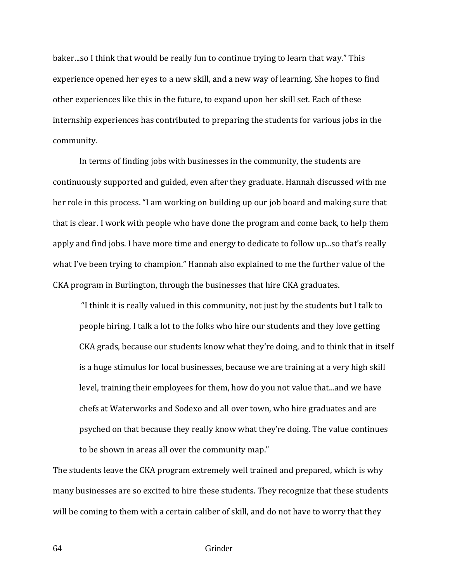baker...so I think that would be really fun to continue trying to learn that way." This experience opened her eyes to a new skill, and a new way of learning. She hopes to find other experiences like this in the future, to expand upon her skill set. Each of these internship experiences has contributed to preparing the students for various jobs in the community.

 In terms of finding jobs with businesses in the community, the students are continuously supported and guided, even after they graduate. Hannah discussed with me her role in this process. "I am working on building up our job board and making sure that that is clear. I work with people who have done the program and come back, to help them apply and find jobs. I have more time and energy to dedicate to follow up...so that's really what I've been trying to champion." Hannah also explained to me the further value of the CKA program in Burlington, through the businesses that hire CKA graduates.

"I think it is really valued in this community, not just by the students but I talk to people hiring, I talk a lot to the folks who hire our students and they love getting CKA grads, because our students know what they're doing, and to think that in itself is a huge stimulus for local businesses, because we are training at a very high skill level, training their employees for them, how do you not value that...and we have chefs at Waterworks and Sodexo and all over town, who hire graduates and are psyched on that because they really know what they're doing. The value continues to be shown in areas all over the community map."

The students leave the CKA program extremely well trained and prepared, which is why many businesses are so excited to hire these students. They recognize that these students will be coming to them with a certain caliber of skill, and do not have to worry that they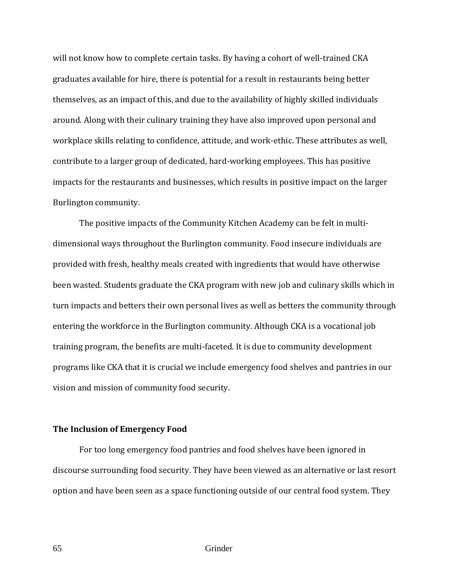will not know how to complete certain tasks. By having a cohort of well-trained CKA graduates available for hire, there is potential for a result in restaurants being better themselves, as an impact of this, and due to the availability of highly skilled individuals around. Along with their culinary training they have also improved upon personal and workplace skills relating to confidence, attitude, and work-ethic. These attributes as well, contribute to a larger group of dedicated, hard-working employees. This has positive impacts for the restaurants and businesses, which results in positive impact on the larger Burlington community.

 The positive impacts of the Community Kitchen Academy can be felt in multidimensional ways throughout the Burlington community. Food insecure individuals are provided with fresh, healthy meals created with ingredients that would have otherwise been wasted. Students graduate the CKA program with new job and culinary skills which in turn impacts and betters their own personal lives as well as betters the community through entering the workforce in the Burlington community. Although CKA is a vocational job training program, the benefits are multi-faceted. It is due to community development programs like CKA that it is crucial we include emergency food shelves and pantries in our vision and mission of community food security.

## **The Inclusion of Emergency Food**

For too long emergency food pantries and food shelves have been ignored in discourse surrounding food security. They have been viewed as an alternative or last resort option and have been seen as a space functioning outside of our central food system. They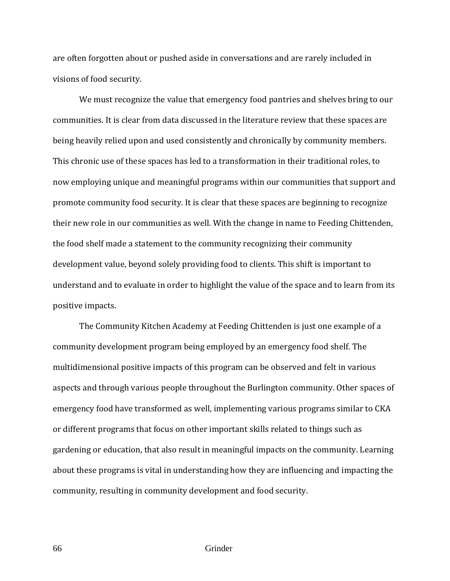are often forgotten about or pushed aside in conversations and are rarely included in visions of food security.

 We must recognize the value that emergency food pantries and shelves bring to our communities. It is clear from data discussed in the literature review that these spaces are being heavily relied upon and used consistently and chronically by community members. This chronic use of these spaces has led to a transformation in their traditional roles, to now employing unique and meaningful programs within our communities that support and promote community food security. It is clear that these spaces are beginning to recognize their new role in our communities as well. With the change in name to Feeding Chittenden, the food shelf made a statement to the community recognizing their community development value, beyond solely providing food to clients. This shift is important to understand and to evaluate in order to highlight the value of the space and to learn from its positive impacts.

 The Community Kitchen Academy at Feeding Chittenden is just one example of a community development program being employed by an emergency food shelf. The multidimensional positive impacts of this program can be observed and felt in various aspects and through various people throughout the Burlington community. Other spaces of emergency food have transformed as well, implementing various programs similar to CKA or different programs that focus on other important skills related to things such as gardening or education, that also result in meaningful impacts on the community. Learning about these programs is vital in understanding how they are influencing and impacting the community, resulting in community development and food security.

66 Grinder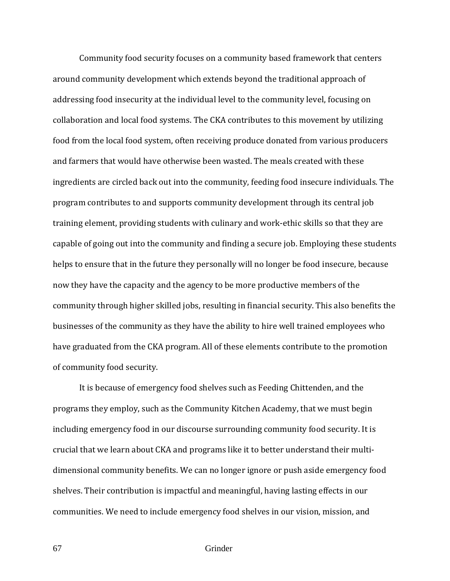Community food security focuses on a community based framework that centers around community development which extends beyond the traditional approach of addressing food insecurity at the individual level to the community level, focusing on collaboration and local food systems. The CKA contributes to this movement by utilizing food from the local food system, often receiving produce donated from various producers and farmers that would have otherwise been wasted. The meals created with these ingredients are circled back out into the community, feeding food insecure individuals. The program contributes to and supports community development through its central job training element, providing students with culinary and work-ethic skills so that they are capable of going out into the community and finding a secure job. Employing these students helps to ensure that in the future they personally will no longer be food insecure, because now they have the capacity and the agency to be more productive members of the community through higher skilled jobs, resulting in financial security. This also benefits the businesses of the community as they have the ability to hire well trained employees who have graduated from the CKA program. All of these elements contribute to the promotion of community food security.

 It is because of emergency food shelves such as Feeding Chittenden, and the programs they employ, such as the Community Kitchen Academy, that we must begin including emergency food in our discourse surrounding community food security. It is crucial that we learn about CKA and programs like it to better understand their multidimensional community benefits. We can no longer ignore or push aside emergency food shelves. Their contribution is impactful and meaningful, having lasting effects in our communities. We need to include emergency food shelves in our vision, mission, and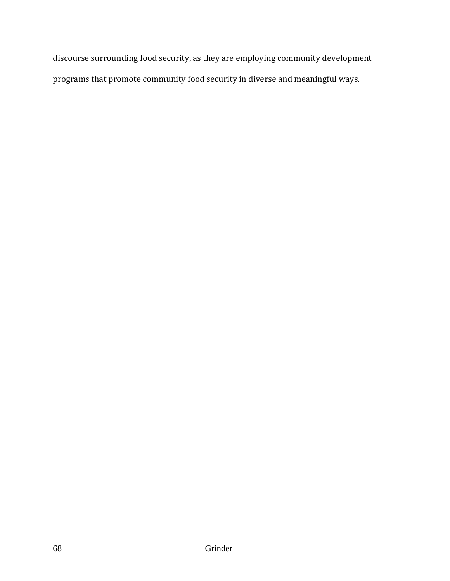discourse surrounding food security, as they are employing community development programs that promote community food security in diverse and meaningful ways.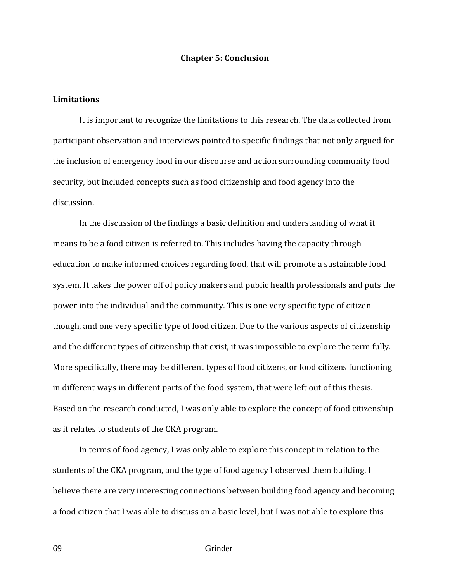## **Chapter 5: Conclusion**

#### **Limitations**

It is important to recognize the limitations to this research. The data collected from participant observation and interviews pointed to specific findings that not only argued for the inclusion of emergency food in our discourse and action surrounding community food security, but included concepts such as food citizenship and food agency into the discussion.

In the discussion of the findings a basic definition and understanding of what it means to be a food citizen is referred to. This includes having the capacity through education to make informed choices regarding food, that will promote a sustainable food system. It takes the power off of policy makers and public health professionals and puts the power into the individual and the community. This is one very specific type of citizen though, and one very specific type of food citizen. Due to the various aspects of citizenship and the different types of citizenship that exist, it was impossible to explore the term fully. More specifically, there may be different types of food citizens, or food citizens functioning in different ways in different parts of the food system, that were left out of this thesis. Based on the research conducted, I was only able to explore the concept of food citizenship as it relates to students of the CKA program.

In terms of food agency, I was only able to explore this concept in relation to the students of the CKA program, and the type of food agency I observed them building. I believe there are very interesting connections between building food agency and becoming a food citizen that I was able to discuss on a basic level, but I was not able to explore this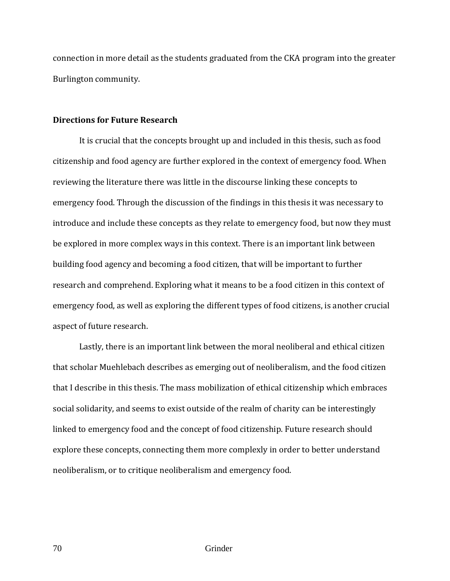connection in more detail as the students graduated from the CKA program into the greater Burlington community.

## **Directions for Future Research**

It is crucial that the concepts brought up and included in this thesis, such as food citizenship and food agency are further explored in the context of emergency food. When reviewing the literature there was little in the discourse linking these concepts to emergency food. Through the discussion of the findings in this thesis it was necessary to introduce and include these concepts as they relate to emergency food, but now they must be explored in more complex ways in this context. There is an important link between building food agency and becoming a food citizen, that will be important to further research and comprehend. Exploring what it means to be a food citizen in this context of emergency food, as well as exploring the different types of food citizens, is another crucial aspect of future research.

Lastly, there is an important link between the moral neoliberal and ethical citizen that scholar Muehlebach describes as emerging out of neoliberalism, and the food citizen that I describe in this thesis. The mass mobilization of ethical citizenship which embraces social solidarity, and seems to exist outside of the realm of charity can be interestingly linked to emergency food and the concept of food citizenship. Future research should explore these concepts, connecting them more complexly in order to better understand neoliberalism, or to critique neoliberalism and emergency food.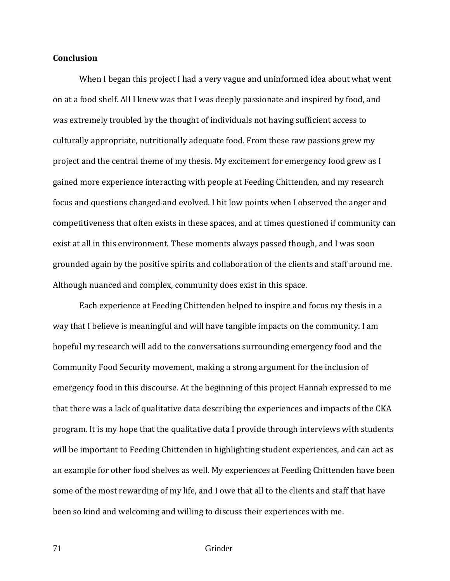# **Conclusion**

When I began this project I had a very vague and uninformed idea about what went on at a food shelf. All I knew was that I was deeply passionate and inspired by food, and was extremely troubled by the thought of individuals not having sufficient access to culturally appropriate, nutritionally adequate food. From these raw passions grew my project and the central theme of my thesis. My excitement for emergency food grew as I gained more experience interacting with people at Feeding Chittenden, and my research focus and questions changed and evolved. I hit low points when I observed the anger and competitiveness that often exists in these spaces, and at times questioned if community can exist at all in this environment. These moments always passed though, and I was soon grounded again by the positive spirits and collaboration of the clients and staff around me. Although nuanced and complex, community does exist in this space.

Each experience at Feeding Chittenden helped to inspire and focus my thesis in a way that I believe is meaningful and will have tangible impacts on the community. I am hopeful my research will add to the conversations surrounding emergency food and the Community Food Security movement, making a strong argument for the inclusion of emergency food in this discourse. At the beginning of this project Hannah expressed to me that there was a lack of qualitative data describing the experiences and impacts of the CKA program. It is my hope that the qualitative data I provide through interviews with students will be important to Feeding Chittenden in highlighting student experiences, and can act as an example for other food shelves as well. My experiences at Feeding Chittenden have been some of the most rewarding of my life, and I owe that all to the clients and staff that have been so kind and welcoming and willing to discuss their experiences with me.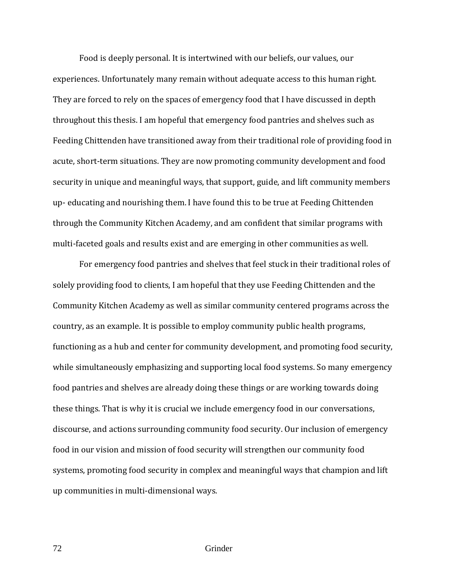Food is deeply personal. It is intertwined with our beliefs, our values, our experiences. Unfortunately many remain without adequate access to this human right. They are forced to rely on the spaces of emergency food that I have discussed in depth throughout this thesis. I am hopeful that emergency food pantries and shelves such as Feeding Chittenden have transitioned away from their traditional role of providing food in acute, short-term situations. They are now promoting community development and food security in unique and meaningful ways, that support, guide, and lift community members up- educating and nourishing them. I have found this to be true at Feeding Chittenden through the Community Kitchen Academy, and am confident that similar programs with multi-faceted goals and results exist and are emerging in other communities as well.

For emergency food pantries and shelves that feel stuck in their traditional roles of solely providing food to clients, I am hopeful that they use Feeding Chittenden and the Community Kitchen Academy as well as similar community centered programs across the country, as an example. It is possible to employ community public health programs, functioning as a hub and center for community development, and promoting food security, while simultaneously emphasizing and supporting local food systems. So many emergency food pantries and shelves are already doing these things or are working towards doing these things. That is why it is crucial we include emergency food in our conversations, discourse, and actions surrounding community food security. Our inclusion of emergency food in our vision and mission of food security will strengthen our community food systems, promoting food security in complex and meaningful ways that champion and lift up communities in multi-dimensional ways.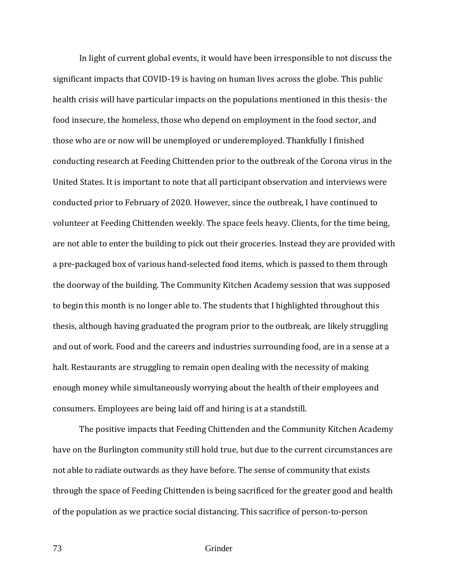In light of current global events, it would have been irresponsible to not discuss the significant impacts that COVID-19 is having on human lives across the globe. This public health crisis will have particular impacts on the populations mentioned in this thesis- the food insecure, the homeless, those who depend on employment in the food sector, and those who are or now will be unemployed or underemployed. Thankfully I finished conducting research at Feeding Chittenden prior to the outbreak of the Corona virus in the United States. It is important to note that all participant observation and interviews were conducted prior to February of 2020. However, since the outbreak, I have continued to volunteer at Feeding Chittenden weekly. The space feels heavy. Clients, for the time being, are not able to enter the building to pick out their groceries. Instead they are provided with a pre-packaged box of various hand-selected food items, which is passed to them through the doorway of the building. The Community Kitchen Academy session that was supposed to begin this month is no longer able to. The students that I highlighted throughout this thesis, although having graduated the program prior to the outbreak, are likely struggling and out of work. Food and the careers and industries surrounding food, are in a sense at a halt. Restaurants are struggling to remain open dealing with the necessity of making enough money while simultaneously worrying about the health of their employees and consumers. Employees are being laid off and hiring is at a standstill.

The positive impacts that Feeding Chittenden and the Community Kitchen Academy have on the Burlington community still hold true, but due to the current circumstances are not able to radiate outwards as they have before. The sense of community that exists through the space of Feeding Chittenden is being sacrificed for the greater good and health of the population as we practice social distancing. This sacrifice of person-to-person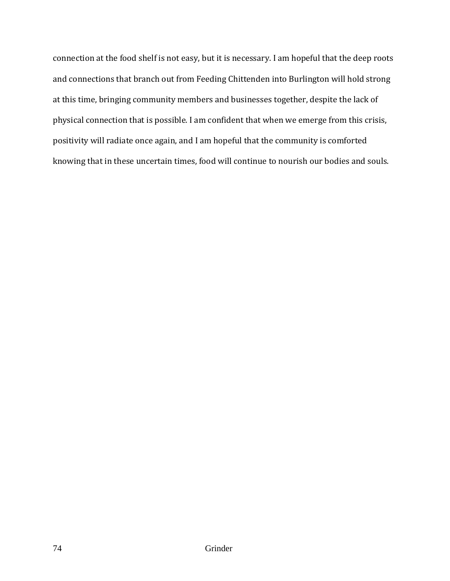connection at the food shelf is not easy, but it is necessary. I am hopeful that the deep roots and connections that branch out from Feeding Chittenden into Burlington will hold strong at this time, bringing community members and businesses together, despite the lack of physical connection that is possible. I am confident that when we emerge from this crisis, positivity will radiate once again, and I am hopeful that the community is comforted knowing that in these uncertain times, food will continue to nourish our bodies and souls.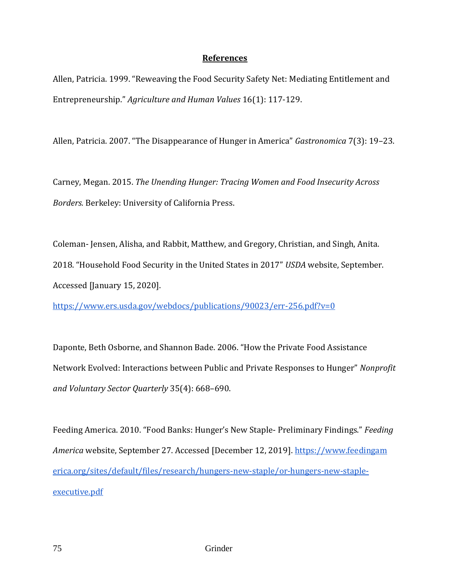## **References**

Allen, Patricia. 1999. "Reweaving the Food Security Safety Net: Mediating Entitlement and Entrepreneurship." *Agriculture and Human Values* 16(1): 117-129.

Allen, Patricia. 2007. "The Disappearance of Hunger in America" *Gastronomica* 7(3): 19–23.

Carney, Megan. 2015. *The Unending Hunger: Tracing Women and Food Insecurity Across Borders.* Berkeley: University of California Press.

Coleman- Jensen, Alisha, and Rabbit, Matthew, and Gregory, Christian, and Singh, Anita. 2018. "Household Food Security in the United States in 2017" *USDA* website, September. Accessed [January 15, 2020].

<https://www.ers.usda.gov/webdocs/publications/90023/err-256.pdf?v=0>

Daponte, Beth Osborne, and Shannon Bade. 2006. "How the Private Food Assistance Network Evolved: Interactions between Public and Private Responses to Hunger" *Nonprofit and Voluntary Sector Quarterly* 35(4): 668–690.

Feeding America. 2010. "Food Banks: Hunger's New Staple- Preliminary Findings." *Feeding America* website, September 27. Accessed [December 12, 2019]. [https://www.feedingam](https://www.feedingamerica.org/sites/default/files/research/hungers-new-staple/or-hungers-new-staple-executive.pdf) [erica.org/sites/default/files/research/hungers-new-staple/or-hungers-new-staple](https://www.feedingamerica.org/sites/default/files/research/hungers-new-staple/or-hungers-new-staple-executive.pdf)[executive.pdf](https://www.feedingamerica.org/sites/default/files/research/hungers-new-staple/or-hungers-new-staple-executive.pdf)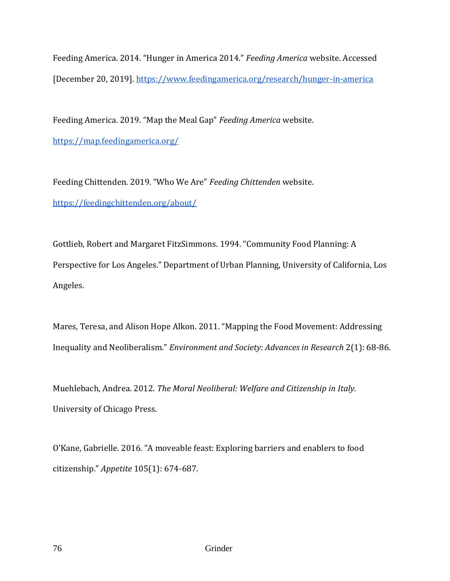Feeding America. 2014. "Hunger in America 2014." *Feeding America* website. Accessed [December 20, 2019].<https://www.feedingamerica.org/research/hunger-in-america>

Feeding America. 2019. "Map the Meal Gap" *Feeding America* website. <https://map.feedingamerica.org/>

Feeding Chittenden. 2019. "Who We Are" *Feeding Chittenden* website. <https://feedingchittenden.org/about/>

Gottlieb, Robert and Margaret FitzSimmons. 1994. "Community Food Planning: A Perspective for Los Angeles." Department of Urban Planning, University of California, Los Angeles.

Mares, Teresa, and Alison Hope Alkon. 2011. "Mapping the Food Movement: Addressing Inequality and Neoliberalism." *Environment and Society: Advances in Research* 2(1): 68-86.

Muehlebach, Andrea. 2012. *The Moral Neoliberal: Welfare and Citizenship in Italy.*  University of Chicago Press.

O'Kane, Gabrielle. 2016. "A moveable feast: Exploring barriers and enablers to food citizenship." *Appetite* 105(1): 674-687.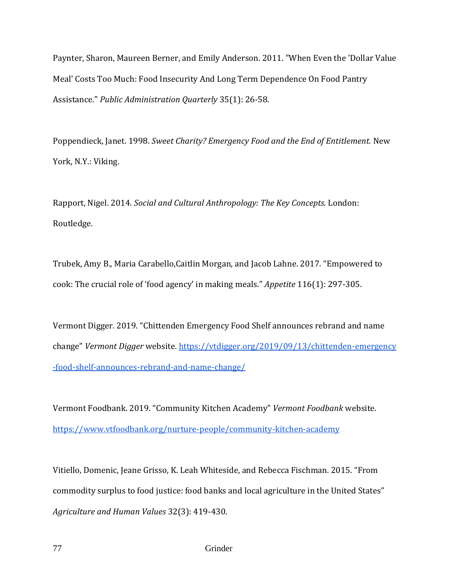Paynter, Sharon, Maureen Berner, and Emily Anderson. 2011. "When Even the 'Dollar Value Meal' Costs Too Much: Food Insecurity And Long Term Dependence On Food Pantry Assistance." *Public Administration Quarterly* 35(1): 26-58.

Poppendieck, Janet. 1998. *Sweet Charity? Emergency Food and the End of Entitlement.* New York, N.Y.: Viking.

Rapport, Nigel. 2014. *Social and Cultural Anthropology: The Key Concepts.* London: Routledge.

Trubek, Amy B., Maria Carabello,Caitlin Morgan, and Jacob Lahne. 2017. "[Empowered to](https://primo.uvm.edu/primo-explore/fulldisplay?docid=TN_elsevier_sdoi_10_1016_j_appet_2017_05_017&context=PC&vid=UVM&lang=en_US&search_scope=Everything&adaptor=primo_central_multiple_fe&tab=default_tab&query=any,contains,Empowered%20to%20cook:%20The%20crucial%20role%20of%20%E2%80%98food%20agency%E2%80%99%20in%20making%20meals&offset=0)  [cook: The crucial role of 'food agency' in making meals.](https://primo.uvm.edu/primo-explore/fulldisplay?docid=TN_elsevier_sdoi_10_1016_j_appet_2017_05_017&context=PC&vid=UVM&lang=en_US&search_scope=Everything&adaptor=primo_central_multiple_fe&tab=default_tab&query=any,contains,Empowered%20to%20cook:%20The%20crucial%20role%20of%20%E2%80%98food%20agency%E2%80%99%20in%20making%20meals&offset=0)" *Appetite* 116(1): 297-305.

Vermont Digger. 2019. "Chittenden Emergency Food Shelf announces rebrand and name change" *Vermont Digger* website. [https://vtdigger.org/2019/09/13/chittenden-emergency](https://vtdigger.org/2019/09/13/chittenden-emergency-food-shelf-announces-rebrand-and-name-change/) [-food-shelf-announces-rebrand-and-name-change/](https://vtdigger.org/2019/09/13/chittenden-emergency-food-shelf-announces-rebrand-and-name-change/)

Vermont Foodbank. 2019. "Community Kitchen Academy" *Vermont Foodbank* website. <https://www.vtfoodbank.org/nurture-people/community-kitchen-academy>

Vitiello, Domenic, Jeane Grisso, K. Leah Whiteside, and Rebecca Fischman. 2015. "[From](https://primo.uvm.edu/primo-explore/fulldisplay?docid=TN_springer_jour10.1007/s10460-014-9563-x&context=PC&vid=UVM&lang=en_US&search_scope=Everything&adaptor=primo_central_multiple_fe&tab=default_tab&query=any,contains,From%20commodity%20surplus%20to%20food%20justice:%20food%20banks%20and%20local%20agriculture%20in%20the%20United%20States)  [commodity surplus to food justice: food banks and local agriculture in the United State](https://primo.uvm.edu/primo-explore/fulldisplay?docid=TN_springer_jour10.1007/s10460-014-9563-x&context=PC&vid=UVM&lang=en_US&search_scope=Everything&adaptor=primo_central_multiple_fe&tab=default_tab&query=any,contains,From%20commodity%20surplus%20to%20food%20justice:%20food%20banks%20and%20local%20agriculture%20in%20the%20United%20States)s" *Agriculture and Human Values* 32(3): 419-430.